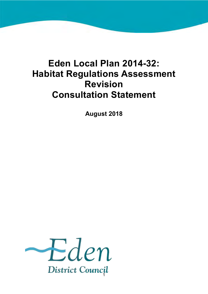# **Eden Local Plan 2014-32: Habitat Regulations Assessment Revision Consultation Statement**

**August 2018** 

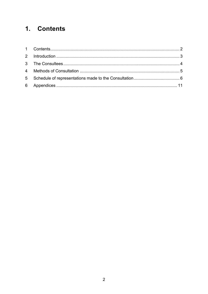## <span id="page-1-0"></span>1. Contents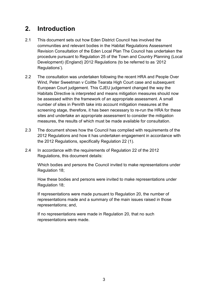### <span id="page-2-0"></span>**2. Introduction**

- 2.1 This document sets out how Eden District Council has involved the communities and relevant bodies in the Habitat Regulations Assessment Revision Consultation of the Eden Local Plan The Council has undertaken the procedure pursuant to Regulation 25 of the Town and Country Planning (Local Development) (England) 2012 Regulations (to be referred to as '2012 Regulations').
- 2.2 The consultation was undertaken following the recent HRA and People Over Wind, Peter Sweetman v Coiltte Tearata High Court case and subsequent European Court judgement. This CJEU judgement changed the way the Habitats Directive is interpreted and means mitigation measures should now be assessed within the framework of an appropriate assessment. A small number of sites in Penrith take into account mitigation measures at the screening stage, therefore, it has been necessary to re-run the HRA for these sites and undertake an appropriate assessment to consider the mitigation measures, the results of which must be made available for consultation.
- 2.3 The document shows how the Council has complied with requirements of the 2012 Regulations and how it has undertaken engagement in accordance with the 2012 Regulations, specifically Regulation 22 (1).
- 2.4 In accordance with the requirements of Regulation 22 of the 2012 Regulations, this document details:

Which bodies and persons the Council invited to make representations under Regulation 18;

How these bodies and persons were invited to make representations under Regulation 18;

If representations were made pursuant to Regulation 20, the number of representations made and a summary of the main issues raised in those representations; and,

If no representations were made in Regulation 20, that no such representations were made.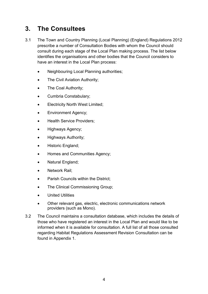### <span id="page-3-0"></span>**3. The Consultees**

- 3.1 The Town and Country Planning (Local Planning) (England) Regulations 2012 prescribe a number of Consultation Bodies with whom the Council should consult during each stage of the Local Plan making process. The list below identifies the organisations and other bodies that the Council considers to have an interest in the Local Plan process:
	- Neighbouring Local Planning authorities;
	- The Civil Aviation Authority;
	- The Coal Authority;
	- Cumbria Constabulary;
	- Electricity North West Limited;
	- **•** Environment Agency;
	- Health Service Providers:
	- Highways Agency;
	- Highways Authority;
	- Historic England;
	- Homes and Communities Agency;
	- Natural England;
	- Network Rail;
	- Parish Councils within the District:
	- The Clinical Commissioning Group;
	- United Utilities
	- Other relevant gas, electric, electronic communications network providers (such as Mono).
- 3.2 The Council maintains a consultation database, which includes the details of those who have registered an interest in the Local Plan and would like to be informed when it is available for consultation. A full list of all those consulted regarding Habitat Regulations Assessment Revision Consultation can be found in Appendix 1.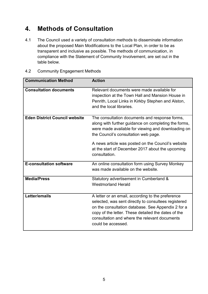### <span id="page-4-0"></span>**4. Methods of Consultation**

4.1 The Council used a variety of consultation methods to disseminate information about the proposed Main Modifications to the Local Plan, in order to be as transparent and inclusive as possible. The methods of communication, in compliance with the Statement of Community Involvement, are set out in the table below.

| <b>Communication Method</b>          | <b>Action</b>                                                                                                                                                                                                                                                                                                                   |
|--------------------------------------|---------------------------------------------------------------------------------------------------------------------------------------------------------------------------------------------------------------------------------------------------------------------------------------------------------------------------------|
| <b>Consultation documents</b>        | Relevant documents were made available for<br>inspection at the Town Hall and Mansion House in<br>Penrith, Local Links in Kirkby Stephen and Alston,<br>and the local libraries.                                                                                                                                                |
| <b>Eden District Council website</b> | The consultation documents and response forms,<br>along with further guidance on completing the forms,<br>were made available for viewing and downloading on<br>the Council's consultation web page.<br>A news article was posted on the Council's website<br>at the start of December 2017 about the upcoming<br>consultation. |
| <b>E-consultation software</b>       | An online consultation form using Survey Monkey<br>was made available on the website.                                                                                                                                                                                                                                           |
| <b>Media/Press</b>                   | Statutory advertisement in Cumberland &<br><b>Westmorland Herald</b>                                                                                                                                                                                                                                                            |
| Letter/emails                        | A letter or an email, according to the preference<br>selected, was sent directly to consultees registered<br>on the consultation database. See Appendix 2 for a<br>copy of the letter. These detailed the dates of the<br>consultation and where the relevant documents<br>could be accessed.                                   |

4.2 Community Engagement Methods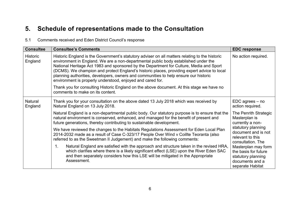### **5. Schedule of representations made to the Consultation**

#### 5.1 Comments received and Eden District Council's response

<span id="page-5-0"></span>

| <b>Consultee</b>           | <b>Consultee's Comments</b>                                                                                                                                                                                                                                                                                                                                                                                                                                                                                                           | <b>EDC response</b>                                                                                      |
|----------------------------|---------------------------------------------------------------------------------------------------------------------------------------------------------------------------------------------------------------------------------------------------------------------------------------------------------------------------------------------------------------------------------------------------------------------------------------------------------------------------------------------------------------------------------------|----------------------------------------------------------------------------------------------------------|
| <b>Historic</b><br>England | Historic England is the Government's statutory adviser on all matters relating to the historic<br>environment in England. We are a non-departmental public body established under the<br>National Heritage Act 1983 and sponsored by the Department for Culture, Media and Sport<br>(DCMS). We champion and protect England's historic places, providing expert advice to local<br>planning authorities, developers, owners and communities to help ensure our historic<br>environment is properly understood, enjoyed and cared for. |                                                                                                          |
|                            | Thank you for consulting Historic England on the above document. At this stage we have no<br>comments to make on its content.                                                                                                                                                                                                                                                                                                                                                                                                         |                                                                                                          |
| Natural<br>England         | Thank you for your consultation on the above dated 13 July 2018 which was received by<br>Natural England on 13 July 2018.                                                                                                                                                                                                                                                                                                                                                                                                             | $EDC$ agrees $-$ no<br>action required.                                                                  |
|                            | Natural England is a non-departmental public body. Our statutory purpose is to ensure that the<br>natural environment is conserved, enhanced, and managed for the benefit of present and<br>future generations, thereby contributing to sustainable development.                                                                                                                                                                                                                                                                      | The Penrith Strategic<br>Masterplan is<br>currently a non-                                               |
|                            | We have reviewed the changes to the Habitats Regulations Assessment for Eden Local Plan<br>2014-2032 made as a result of Case C-323/17 People Over Wind v Coillte Teoranta (also<br>referred to as the Sweetman II Judgement) and make the following comments:                                                                                                                                                                                                                                                                        | statutory planning<br>document and is not<br>relevant to this<br>consultation. The                       |
|                            | Natural England are satisfied with the approach and structure taken in the revised HRA,<br>$\mathbf 1$ .<br>which clarifies where there is a likely significant effect (LSE) upon the River Eden SAC<br>and then separately considers how this LSE will be mitigated in the Appropriate<br>Assessment.                                                                                                                                                                                                                                | Masterplan may form<br>the basis for future<br>statutory planning<br>documents and a<br>separate Habitat |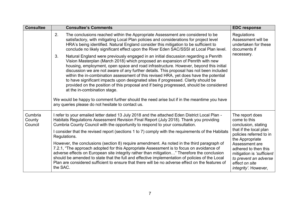| <b>Consultee</b>             | <b>Consultee's Comments</b>                                                                                                                                                                                                                                                                                                                                                                                                                                                                                                                                                                                                                                                                                                                                                                                                   | <b>EDC response</b>                                                                                                                           |
|------------------------------|-------------------------------------------------------------------------------------------------------------------------------------------------------------------------------------------------------------------------------------------------------------------------------------------------------------------------------------------------------------------------------------------------------------------------------------------------------------------------------------------------------------------------------------------------------------------------------------------------------------------------------------------------------------------------------------------------------------------------------------------------------------------------------------------------------------------------------|-----------------------------------------------------------------------------------------------------------------------------------------------|
|                              | 2.<br>The conclusions reached within the Appropriate Assessment are considered to be<br>satisfactory, with mitigating Local Plan policies and considerations for project level<br>HRA's being identified. Natural England consider this mitigation to be sufficient to<br>conclude no likely significant effect upon the River Eden SAC/SSSI at Local Plan level.                                                                                                                                                                                                                                                                                                                                                                                                                                                             | <b>Regulations</b><br>Assessment will be<br>undertaken for these<br>documents if                                                              |
|                              | 3.<br>Natural England were previously engaged in an initial discussion regarding a Penrith<br>Vision Masterplan (March 2018) which proposed an expansion of Penrith with new<br>housing, employment, open space and road infrastructure. However, beyond this initial<br>discussion we are not aware of any further details. This proposal has not been included<br>within the in-combination assessment of this revised HRA, yet does have the potential<br>to have significant impacts upon designated sites if progressed. Clarity should be<br>provided on the position of this proposal and if being progressed, should be considered<br>at the in-combination stage.<br>We would be happy to comment further should the need arise but if in the meantime you have<br>any queries please do not hesitate to contact us. | necessary.                                                                                                                                    |
| Cumbria<br>County<br>Council | I refer to your emailed letter dated 13 July 2018 and the attached Eden District Local Plan -<br>Habitats Regulations Assessment Revision Final Report (July 2018). Thank you providing<br>Cumbria County Council with the opportunity to respond to your consultation.                                                                                                                                                                                                                                                                                                                                                                                                                                                                                                                                                       | The report does<br>come to this<br>conclusion, stating                                                                                        |
|                              | I consider that the revised report (sections 1 to 7) comply with the requirements of the Habitats<br>Regulations.                                                                                                                                                                                                                                                                                                                                                                                                                                                                                                                                                                                                                                                                                                             | that if the local plan<br>policies referred to in<br>the Appropriate                                                                          |
|                              | However, the conclusions (section 8) require amendment. As noted in the third paragraph of<br>7.2.1, "The approach adopted for this Appropriate Assessment is to focus on avoidance of<br>adverse effects on European site integrity rather than mitigation" Therefore the conclusion<br>should be amended to state that the full and effective implementation of policies of the Local<br>Plan are considered sufficient to ensure that there will be no adverse effect on the features of<br>the SAC.                                                                                                                                                                                                                                                                                                                       | Assessment are<br>adhered to then this<br>mitigation is 'sufficient<br>to prevent an adverse<br>effect on site<br><i>integrity'.</i> However, |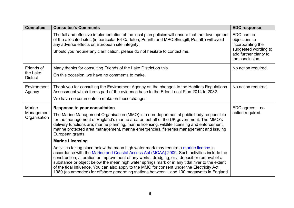| <b>Consultee</b>                          | <b>Consultee's Comments</b>                                                                                                                                                                                                                                                                                                                                                                                                                                                                                                                                                        | <b>EDC response</b>                                                                                                   |
|-------------------------------------------|------------------------------------------------------------------------------------------------------------------------------------------------------------------------------------------------------------------------------------------------------------------------------------------------------------------------------------------------------------------------------------------------------------------------------------------------------------------------------------------------------------------------------------------------------------------------------------|-----------------------------------------------------------------------------------------------------------------------|
|                                           | The full and effective implementation of the local plan policies will ensure that the development<br>of the allocated sites (in particular E4 Carleton, Penrith and MPC Skirsgill, Penrith) will avoid<br>any adverse effects on European site integrity.<br>Should you require any clarification, please do not hesitate to contact me.                                                                                                                                                                                                                                           | EDC has no<br>objections to<br>incorporating the<br>suggested wording to<br>add further clarity to<br>the conclusion. |
| Friends of<br>the Lake<br><b>District</b> | Many thanks for consulting Friends of the Lake District on this.<br>On this occasion, we have no comments to make.                                                                                                                                                                                                                                                                                                                                                                                                                                                                 | No action required.                                                                                                   |
|                                           |                                                                                                                                                                                                                                                                                                                                                                                                                                                                                                                                                                                    |                                                                                                                       |
| Environment<br>Agency                     | Thank you for consulting the Environment Agency on the changes to the Habitats Regulations<br>Assessment which forms part of the evidence base to the Eden Local Plan 2014 to 2032.<br>We have no comments to make on these changes.                                                                                                                                                                                                                                                                                                                                               | No action required.                                                                                                   |
| <b>Marine</b>                             |                                                                                                                                                                                                                                                                                                                                                                                                                                                                                                                                                                                    | $EDC$ agrees $-$ no                                                                                                   |
| Management<br>Organisation                | <b>Response to your consultation</b><br>The Marine Management Organisation (MMO) is a non-departmental public body responsible<br>for the management of England's marine area on behalf of the UK government. The MMO's<br>delivery functions are; marine planning, marine licensing, wildlife licensing and enforcement,<br>marine protected area management, marine emergencies, fisheries management and issuing<br>European grants.                                                                                                                                            | action required.                                                                                                      |
|                                           | <b>Marine Licensing</b>                                                                                                                                                                                                                                                                                                                                                                                                                                                                                                                                                            |                                                                                                                       |
|                                           | Activities taking place below the mean high water mark may require a marine licence in<br>accordance with the Marine and Coastal Access Act (MCAA) 2009. Such activities include the<br>construction, alteration or improvement of any works, dredging, or a deposit or removal of a<br>substance or object below the mean high water springs mark or in any tidal river to the extent<br>of the tidal influence. You can also apply to the MMO for consent under the Electricity Act<br>1989 (as amended) for offshore generating stations between 1 and 100 megawatts in England |                                                                                                                       |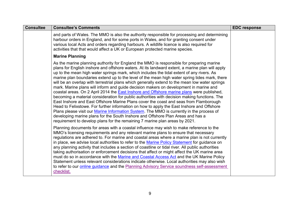| <b>Consultee</b> | <b>Consultee's Comments</b>                                                                                                                                                                                                                                                                                                                                                                                                                                                                                                                                                                                                                                                                                                                                                                                                                                                                                                                                                                                                                                                                                                                                                                                                                  | <b>EDC response</b> |
|------------------|----------------------------------------------------------------------------------------------------------------------------------------------------------------------------------------------------------------------------------------------------------------------------------------------------------------------------------------------------------------------------------------------------------------------------------------------------------------------------------------------------------------------------------------------------------------------------------------------------------------------------------------------------------------------------------------------------------------------------------------------------------------------------------------------------------------------------------------------------------------------------------------------------------------------------------------------------------------------------------------------------------------------------------------------------------------------------------------------------------------------------------------------------------------------------------------------------------------------------------------------|---------------------|
|                  | and parts of Wales. The MMO is also the authority responsible for processing and determining<br>harbour orders in England, and for some ports in Wales, and for granting consent under<br>various local Acts and orders regarding harbours. A wildlife licence is also required for<br>activities that that would affect a UK or European protected marine species.                                                                                                                                                                                                                                                                                                                                                                                                                                                                                                                                                                                                                                                                                                                                                                                                                                                                          |                     |
|                  | <b>Marine Planning</b>                                                                                                                                                                                                                                                                                                                                                                                                                                                                                                                                                                                                                                                                                                                                                                                                                                                                                                                                                                                                                                                                                                                                                                                                                       |                     |
|                  | As the marine planning authority for England the MMO is responsible for preparing marine<br>plans for English inshore and offshore waters. At its landward extent, a marine plan will apply<br>up to the mean high water springs mark, which includes the tidal extent of any rivers. As<br>marine plan boundaries extend up to the level of the mean high water spring tides mark, there<br>will be an overlap with terrestrial plans which generally extend to the mean low water springs<br>mark. Marine plans will inform and guide decision makers on development in marine and<br>coastal areas. On 2 April 2014 the <b>East Inshore and Offshore marine plans</b> were published,<br>becoming a material consideration for public authorities with decision making functions. The<br>East Inshore and East Offshore Marine Plans cover the coast and seas from Flamborough<br>Head to Felixstowe. For further information on how to apply the East Inshore and Offshore<br>Plans please visit our Marine Information System. The MMO is currently in the process of<br>developing marine plans for the South Inshore and Offshore Plan Areas and has a<br>requirement to develop plans for the remaining 7 marine plan areas by 2021. |                     |
|                  | Planning documents for areas with a coastal influence may wish to make reference to the<br>MMO's licensing requirements and any relevant marine plans to ensure that necessary<br>regulations are adhered to. For marine and coastal areas where a marine plan is not currently<br>in place, we advise local authorities to refer to the Marine Policy Statement for guidance on<br>any planning activity that includes a section of coastline or tidal river. All public authorities<br>taking authorisation or enforcement decisions that affect or might affect the UK marine area<br>must do so in accordance with the Marine and Coastal Access Act and the UK Marine Policy<br>Statement unless relevant considerations indicate otherwise. Local authorities may also wish<br>to refer to our <b>online guidance</b> and the <b>Planning Advisory Service soundness self-assessment</b><br>checklist.                                                                                                                                                                                                                                                                                                                                 |                     |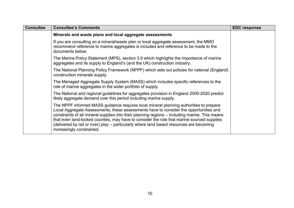| <b>Consultee</b> | <b>Consultee's Comments</b>                                                                                                                                                                                                                                                                                                                                                                                                                                                                              | <b>EDC response</b> |
|------------------|----------------------------------------------------------------------------------------------------------------------------------------------------------------------------------------------------------------------------------------------------------------------------------------------------------------------------------------------------------------------------------------------------------------------------------------------------------------------------------------------------------|---------------------|
|                  | Minerals and waste plans and local aggregate assessments                                                                                                                                                                                                                                                                                                                                                                                                                                                 |                     |
|                  | If you are consulting on a mineral/waste plan or local aggregate assessment, the MMO<br>recommend reference to marine aggregates is included and reference to be made to the<br>documents below:                                                                                                                                                                                                                                                                                                         |                     |
|                  | The Marine Policy Statement (MPS), section 3.5 which highlights the importance of marine<br>aggregates and its supply to England's (and the UK) construction industry.                                                                                                                                                                                                                                                                                                                                   |                     |
|                  | The National Planning Policy Framework (NPPF) which sets out policies for national (England)<br>construction minerals supply.                                                                                                                                                                                                                                                                                                                                                                            |                     |
|                  | The Managed Aggregate Supply System (MASS) which includes specific references to the<br>role of marine aggregates in the wider portfolio of supply.                                                                                                                                                                                                                                                                                                                                                      |                     |
|                  | The National and regional guidelines for aggregates provision in England 2005-2020 predict<br>likely aggregate demand over this period including marine supply.                                                                                                                                                                                                                                                                                                                                          |                     |
|                  | The NPPF informed MASS guidance requires local mineral planning authorities to prepare<br>Local Aggregate Assessments, these assessments have to consider the opportunities and<br>constraints of all mineral supplies into their planning regions – including marine. This means<br>that even land-locked counties, may have to consider the role that marine sourced supplies<br>(delivered by rail or river) play – particularly where land based resources are becoming<br>increasingly constrained. |                     |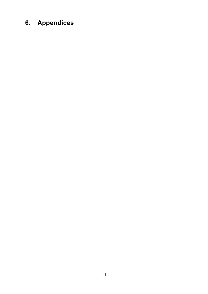# <span id="page-10-0"></span>**6. Appendices**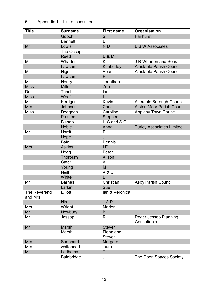| <b>Title</b>        | <b>Surname</b>       | <b>First name</b> | Organisation                      |
|---------------------|----------------------|-------------------|-----------------------------------|
|                     | Gooch                | S                 | Fairhurst                         |
|                     | <b>Bennett</b>       | D                 |                                   |
| Mr                  | Lowis                | N <sub>D</sub>    | L B W Associates                  |
|                     |                      |                   |                                   |
|                     | The Occupier<br>Reed |                   |                                   |
|                     |                      | <b>D &amp; M</b>  |                                   |
| Mr                  | Wharton              | K                 | <b>J R Wharton and Sons</b>       |
|                     | Lawson               | Kimberley         | <b>Ainstable Parish Council</b>   |
| Mr                  | <b>Nigel</b>         | Vear              | <b>Ainstable Parish Council</b>   |
|                     | Lawson               | H                 |                                   |
| Mr                  | Henry                | Jonathon          |                                   |
| <b>Miss</b>         | <b>Mills</b>         | Zoe               |                                   |
| Dr                  | Tench                | lan               |                                   |
| <b>Miss</b>         | Woof                 |                   |                                   |
| Mr                  | Kerrigan             | Kevin             | Allerdale Borough Council         |
| <b>Mrs</b>          | Johnson              | <b>Chris</b>      | <b>Alston Moor Parish Council</b> |
| <b>Miss</b>         | Dodgeon              | Caroline          | <b>Appleby Town Council</b>       |
|                     | Preston              | Stephen           |                                   |
|                     | <b>Bishop</b>        | H C and S G       |                                   |
|                     | <b>Noble</b>         | Anna              | <b>Turley Associates Limited</b>  |
| Mr                  | Hardt                | R                 |                                   |
|                     | Hope                 | J                 |                                   |
|                     | <b>Bain</b>          | Dennis            |                                   |
| <b>Mrs</b>          | <b>Askins</b>        | IE                |                                   |
|                     | Hogg                 | Peter             |                                   |
|                     | Thorburn             | Alison            |                                   |
|                     | Cater                | A                 |                                   |
|                     | Young                | M                 |                                   |
|                     | <b>Neill</b>         | A & S             |                                   |
|                     | White                |                   |                                   |
| Mr                  | <b>Barnes</b>        | Christian         | <b>Asby Parish Council</b>        |
|                     | Larkin               | Sue               |                                   |
| <b>The Reverend</b> | <b>Elliott</b>       | lan & Veronica    |                                   |
| and Mrs             |                      |                   |                                   |
|                     | Hird                 | J & P             |                                   |
| <b>Mrs</b>          | Wright               | Marion            |                                   |
| Mr                  | <b>Newbury</b>       | B                 |                                   |
| Mr                  | Jessop               | R                 | Roger Jessop Planning             |
|                     |                      |                   | <b>Consultants</b>                |
| Mr                  | <b>Marsh</b>         | <b>Steven</b>     |                                   |
|                     | Marsh                | Fiona and         |                                   |
|                     |                      | <b>Steven</b>     |                                   |
| <b>Mrs</b>          | Sheppard             | Margaret          |                                   |
| <b>Mrs</b>          | whitehead            | laura             |                                   |
| Mr                  | Ladhams              | Τ                 |                                   |
|                     |                      |                   |                                   |
|                     | <b>Bainbridge</b>    | J                 | The Open Spaces Society           |

#### 6.1 Appendix 1 – List of consultees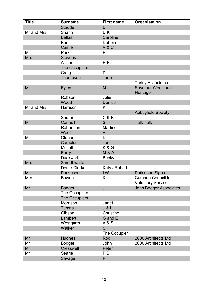| <b>Title</b> | <b>Surname</b>   | <b>First name</b> | Organisation                  |
|--------------|------------------|-------------------|-------------------------------|
|              | <b>Staude</b>    | D                 |                               |
| Mr and Mrs   | Snaith           | DK                |                               |
|              | <b>Bellas</b>    | Caroline          |                               |
|              | <b>Barr</b>      | Debbie            |                               |
|              | Castle           | V & C             |                               |
| Mr           | Park             | P                 |                               |
| <b>Mrs</b>   | <b>Stevens</b>   | J                 |                               |
|              | Allison          | R.E.              |                               |
|              | The Occupiers    |                   |                               |
|              | Craig            | D                 |                               |
|              | Thompson         | June              |                               |
|              |                  |                   | <b>Turley Associates</b>      |
| Mr           | <b>Eyles</b>     | M                 | Save our Woodland<br>Heritage |
|              | Robson           | Julie             |                               |
|              | Wood             | <b>Denise</b>     |                               |
| Mr and Mrs   | Harrison         | Κ                 |                               |
|              |                  |                   | <b>Abbeyfield Society</b>     |
|              | Souter           | C & B             |                               |
| Mr           | Connell          | S                 | <b>Talk Talk</b>              |
|              | Robertson        | <b>Martine</b>    |                               |
|              | Woof             | A                 |                               |
| Mr           | Oldham           | D                 |                               |
|              | Campion          | Joe               |                               |
|              | <b>Mullett</b>   | K&G               |                               |
|              | Perry            | <b>M &amp; A</b>  |                               |
|              | Duckworth        | <b>Becky</b>      |                               |
| <b>Mrs</b>   | Smurthwaite      | J                 |                               |
|              | Dent / Clarke    | Katy / Robert     |                               |
| Mr           | Parkinson        | IW                | <b>Patkinson Signs</b>        |
| <b>Mrs</b>   | <b>Bowen</b>     | K                 | <b>Cumbria Council for</b>    |
|              |                  |                   | <b>Voluntary Service</b>      |
| Mr           | <b>Bodger</b>    | J                 | <b>John Bodger Associates</b> |
|              | The Occupiers    |                   |                               |
|              | The Occupiers    |                   |                               |
|              | Morrison         | Janet             |                               |
|              | <b>Tunstall</b>  | J & L             |                               |
|              | Gibson           | Christine         |                               |
|              | Lambert          | G and E           |                               |
|              | Westgarth        | A & S             |                               |
|              | Walker           | S                 |                               |
|              |                  | The Occupier      |                               |
| Mr           | <b>Hughes</b>    | Rod               | 2030 Architects Ltd           |
| Mr           | <b>Bodger</b>    | John              | 2030 Architects Ltd           |
| Mr           | <b>Cresswell</b> | Peter             |                               |
| Mr           | Searle           | P D               |                               |
|              | Savage           | P                 |                               |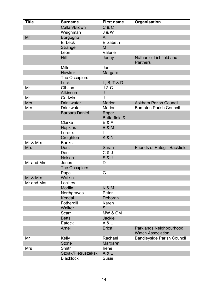| <b>Title</b> | <b>Surname</b>         | <b>First name</b>                 | Organisation                                        |
|--------------|------------------------|-----------------------------------|-----------------------------------------------------|
|              | Callan/Brown           | C & C                             |                                                     |
|              | Weighman               | <b>J &amp; W</b>                  |                                                     |
| Mr           | Borgogno               | A                                 |                                                     |
|              | <b>Birbeck</b>         | Elizabeth                         |                                                     |
|              | <b>Strange</b>         | M                                 |                                                     |
|              | Leon                   | Valerie                           |                                                     |
|              | <b>Hill</b>            | Jenny                             | <b>Nathaniel Lichfield and</b><br><b>Partners</b>   |
|              | <b>Mills</b>           | Jan                               |                                                     |
|              | <b>Hawker</b>          | Margaret                          |                                                     |
|              | The Occupiers          |                                   |                                                     |
|              | Luck                   | L, B, T & D                       |                                                     |
| Mr           | Gibson                 | J & C                             |                                                     |
|              | <b>Atkinson</b>        | J                                 |                                                     |
| Mr           | Godwin                 | J                                 |                                                     |
| <b>Mrs</b>   | <b>Drinkwater</b>      | <b>Marion</b>                     | <b>Askham Parish Council</b>                        |
| <b>Mrs</b>   | <b>Drinkwater</b>      | <b>Marion</b>                     | <b>Bampton Parish Council</b>                       |
|              | <b>Barbara Daniel</b>  | Roger<br><b>Butterfield &amp;</b> |                                                     |
|              | Clarke                 | E & A                             |                                                     |
|              | <b>Hopkins</b>         | <b>B &amp; M</b>                  |                                                     |
|              | Leroux                 |                                   |                                                     |
|              | Creighton              | <b>K&amp;N</b>                    |                                                     |
| Mr & Mrs     | <b>Banks</b>           |                                   |                                                     |
| <b>Mrs</b>   | Dent                   | Sarah                             | <b>Friends of Pategill Backfield</b>                |
|              | Dent                   | C & J                             |                                                     |
|              | <b>Nelson</b>          | <b>S &amp; J</b>                  |                                                     |
| Mr and Mrs   | Jones<br>The Occupiers | D                                 |                                                     |
|              | Page                   | G                                 |                                                     |
| Mr & Mrs     | Watkin                 |                                   |                                                     |
| Mr and Mrs   | Lockley                |                                   |                                                     |
|              | <b>Modlin</b>          | <b>K&amp;M</b>                    |                                                     |
|              | Northgraves            | Peter                             |                                                     |
|              | Kendal                 | Deborah                           |                                                     |
|              | Fothergill             | Karen                             |                                                     |
|              | Walker                 | S                                 |                                                     |
|              | Scarr                  | MW & CM                           |                                                     |
|              | <b>Betts</b>           | <b>Jackie</b>                     |                                                     |
|              | Eatock                 | A & L                             |                                                     |
|              | Arneil                 | Erica                             | Parklands Neighbourhood<br><b>Watch Association</b> |
| Mr           | Kelly                  | Rachael                           | <b>Bandleyside Parish Council</b>                   |
|              | <b>Stone</b>           | Margaret                          |                                                     |
| Mrs          | Smith                  | Irene                             |                                                     |
|              | Szpak/Pietruszekski    | A & L                             |                                                     |
|              | <b>Blacklock</b>       | <b>Susie</b>                      |                                                     |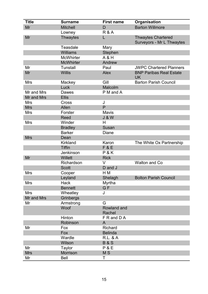| <b>Title</b> | <b>Surname</b>   | <b>First name</b>     | Organisation                                           |
|--------------|------------------|-----------------------|--------------------------------------------------------|
| Mr           | <b>Mitchell</b>  | D                     | <b>Barton Willmore</b>                                 |
|              | Lowney           | <b>R&amp;A</b>        |                                                        |
| Mr           | <b>Thwaytes</b>  | L                     | <b>Thwaytes Chartered</b><br>Surveyors - Mr L Thwaytes |
|              | <b>Teasdale</b>  | Mary                  |                                                        |
|              | <b>Williams</b>  | Stephen               |                                                        |
|              | <b>McWhirter</b> | A & H                 |                                                        |
|              | <b>McWhirter</b> | Andrew                |                                                        |
| Mr           | <b>Tunstall</b>  | Paul                  | <b>JWPC Chartered Planners</b>                         |
| Mr           | <b>Willis</b>    | <b>Alex</b>           | <b>BNP Paribas Real Estate</b><br><b>UK</b>            |
| <b>Mrs</b>   | Mackey           | Gill                  | <b>Barton Parish Council</b>                           |
|              | Luck             | Malcolm               |                                                        |
| Mr and Mrs   | Dawes            | P M and A             |                                                        |
| Mr and Mrs   | <b>Ellis</b>     |                       |                                                        |
| <b>Mrs</b>   | Cross            | J                     |                                                        |
| <b>Mrs</b>   | Allen            | P                     |                                                        |
| Mrs          | Forster          | <b>Mavis</b>          |                                                        |
|              | <b>Reed</b>      | <b>J &amp; W</b>      |                                                        |
| <b>Mrs</b>   | Winder           | H                     |                                                        |
|              | <b>Bradley</b>   | <b>Susan</b>          |                                                        |
|              | <b>Barker</b>    | Diane                 |                                                        |
| <b>Mrs</b>   | Dean             |                       |                                                        |
|              | <b>Kirkland</b>  | Karon                 | The White Ox Partnership                               |
|              | <b>Tiffin</b>    | <b>F&amp;E</b>        |                                                        |
|              | Jenkinson        | P&K                   |                                                        |
| Mr           | Willett          | <b>Rick</b>           |                                                        |
|              | Richardson       | V                     | <b>Walton and Co</b>                                   |
|              | <b>Scott</b>     | D and J               |                                                        |
| <b>Mrs</b>   | Cooper           | H M                   |                                                        |
|              | Leyland          | Shelagh               | <b>Bolton Parish Council</b>                           |
| <b>Mrs</b>   | <b>Hack</b>      | <b>Myrtha</b>         |                                                        |
|              | <b>Bennett</b>   | G <sub>F</sub>        |                                                        |
| <b>Mrs</b>   | Wheatley         | J                     |                                                        |
| Mr and Mrs   | Grinbergs        |                       |                                                        |
| Mr           | Armstrong        | G                     |                                                        |
|              | Woof             | Rowland and<br>Rachel |                                                        |
|              | Hinton           | F R and D A           |                                                        |
|              | Robinson         | A                     |                                                        |
| Mr           | Fox              | <b>Richard</b>        |                                                        |
|              | Fox              | <b>Belinda</b>        |                                                        |
|              | Wardle           | <b>R.L. &amp; A</b>   |                                                        |
|              | Wilson           | <b>B&amp;S</b>        |                                                        |
| Mr           | <b>Taylor</b>    | P & E                 |                                                        |
| <b>Mrs</b>   | Morrison         | M <sub>S</sub>        |                                                        |
| Mr           | Bell             | Τ                     |                                                        |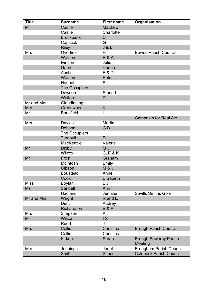| <b>Title</b> | <b>Surname</b>       | <b>First name</b>        | Organisation                            |
|--------------|----------------------|--------------------------|-----------------------------------------|
| Mr           | Castle               | <b>Matthew</b>           |                                         |
|              | Castle               | Charlotte                |                                         |
|              | <b>Brockbank</b>     | $\mathsf C$              |                                         |
|              | Capstick             | G                        |                                         |
|              | <b>Riley</b>         | J & B                    |                                         |
| <b>Mrs</b>   | Overfield            | H                        | <b>Bowes Parish Council</b>             |
|              | Watson               | <b>R&amp;A</b>           |                                         |
|              | <b>lvinson</b>       | Julie                    |                                         |
|              | Garner               | Donna                    |                                         |
|              | Austin               | E & D                    |                                         |
|              | Watson               | Peter                    |                                         |
|              | Hannah               | S                        |                                         |
|              | The Occupiers        |                          |                                         |
|              | Dowson               | S and I                  |                                         |
|              | Walton               | D                        |                                         |
| Mr and Mrs   | Glendinning          |                          |                                         |
| <b>Mrs</b>   | Greenwood            | Κ                        |                                         |
| Mr           | <b>Bousfield</b>     | L                        |                                         |
|              |                      |                          | <b>Campaign for Real Ale</b>            |
| <b>Mrs</b>   | <b>Davies</b>        | Marita                   |                                         |
|              | Dobson               | G.D.                     |                                         |
|              | <b>The Occupiers</b> |                          |                                         |
|              | Turnbull             | D                        |                                         |
|              | MacKenzie            | Valerie                  |                                         |
| Mr           | <b>Digby</b>         | M J                      |                                         |
|              | <b>Wilcox</b>        | C, E & K                 |                                         |
| Mr           | Frost                | Graham                   |                                         |
|              | McIntosh             | Emily                    |                                         |
|              | Gibson               | M&J                      |                                         |
|              | <b>Boustead</b>      | Anne                     |                                         |
|              | Cook                 | Elizabeth                |                                         |
| <b>Miss</b>  | Boylan               | LJ                       |                                         |
| <b>Ms</b>    | Sandell              | Ann                      |                                         |
|              | Hadland              | Jennifer                 | <b>Savills Smiths Gore</b>              |
| Mr and Mrs   | Wright               | R and E                  |                                         |
|              | Dent                 | Audrey                   |                                         |
|              | Richardson           | <b>B&amp;A</b>           |                                         |
| Mrs          | Simpson              | A                        |                                         |
| Mr           | Wilson               | $\overline{\phantom{a}}$ |                                         |
|              | Rudd                 | J                        |                                         |
| <b>Mrs</b>   | <b>Collis</b>        | Christina                | <b>Brough Parish Council</b>            |
|              | Collis               | Christina                |                                         |
|              | <b>Kirkup</b>        | Sarah                    | <b>Brough Sowerby Parish</b><br>Meeting |
|              |                      |                          |                                         |
| <b>Mrs</b>   | Jennings             | Janet                    | <b>Brougham Parish Council</b>          |
|              | <b>Smith</b>         | Simon                    | <b>Caldbeck Parish Council</b>          |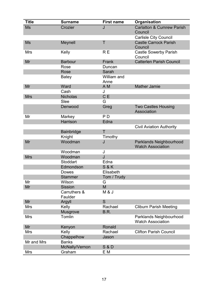| <b>Title</b> | <b>Surname</b>          | <b>First name</b>   | Organisation                                        |
|--------------|-------------------------|---------------------|-----------------------------------------------------|
| <b>Ms</b>    | Crozier                 | J                   | <b>Carlatton &amp; Cumrew Parish</b><br>Council     |
|              |                         |                     | <b>Carlisle City Council</b>                        |
| <b>Ms</b>    | Meynell                 | T                   | <b>Castle Carrock Parish</b><br>Council             |
| <b>Mrs</b>   | Kelly                   | R <sub>E</sub>      | <b>Castle Sowerby Parish</b><br>Council             |
| Mr           | <b>Barbour</b>          | Frank               | <b>Catterlen Parish Council</b>                     |
|              | Rose                    | Duncan              |                                                     |
|              | Rose                    | Sarah               |                                                     |
|              | Batey                   | William and<br>Anne |                                                     |
| Mr           | Ward                    | A M                 | <b>Mather Jamie</b>                                 |
|              | Cash                    | J                   |                                                     |
| <b>Mrs</b>   | <b>Nicholas</b>         | C E                 |                                                     |
|              | Slee                    | G                   |                                                     |
|              | Denwood                 | Greg                | <b>Two Castles Housing</b><br>Association           |
| Mr           | Markey                  | P <sub>D</sub>      |                                                     |
|              | <b>Harrison</b>         | Edna                |                                                     |
|              |                         |                     | <b>Civil Aviation Authority</b>                     |
|              | <b>Bainbridge</b>       | T                   |                                                     |
|              | Knight                  | Timothy             |                                                     |
| Mr           | Woodman                 | J                   | Parklands Neighbourhood<br><b>Watch Association</b> |
|              | Woodman                 | J                   |                                                     |
| <b>Mrs</b>   | Woodman                 | J                   |                                                     |
|              | <b>Stoddart</b>         | Edna                |                                                     |
|              | Edmondson               | <b>S&amp;K</b>      |                                                     |
|              | <b>Dowes</b>            | Elisabeth           |                                                     |
|              | <b>Stammer</b>          | Tom / Trudy         |                                                     |
| Mr           | Wilson                  | G                   |                                                     |
| Mr           | <b>Sission</b>          | M                   |                                                     |
|              | Carruthers &<br>Faulder | M & J               |                                                     |
| Mr           | Argyll                  | S                   |                                                     |
| Mrs          | Kelly                   | Rachael             | <b>Cliburn Parish Meeting</b>                       |
|              | <b>Musgrove</b>         | B.R.                |                                                     |
| <b>Mrs</b>   | Tomlin                  |                     | Parklands Neighbourhood<br><b>Watch Association</b> |
| Mr           | Kenyon                  | Ronald              |                                                     |
| Mrs          | Kelly                   | Rachael             | <b>Clifton Parish Council</b>                       |
|              | Chappelhow              | Jason               |                                                     |
| Mr and Mrs   | <b>Banks</b>            |                     |                                                     |
|              | McNally/Vernon          | <b>S &amp; D</b>    |                                                     |
| Mrs          | Graham                  | ΕM                  |                                                     |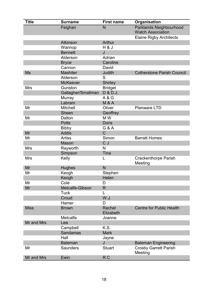| <b>Title</b> | <b>Surname</b>     | <b>First name</b>   | Organisation                                        |
|--------------|--------------------|---------------------|-----------------------------------------------------|
|              | Feighan            | N                   | Parklands Neighbourhood<br><b>Watch Association</b> |
|              |                    |                     | <b>Elaine Rigby Architects</b>                      |
|              | <b>Atkinson</b>    | Arthur              |                                                     |
|              | Wannop             | H&J                 |                                                     |
|              | <b>Bennett</b>     | J                   |                                                     |
|              | Alderson           | Adrian              |                                                     |
|              | <b>Bryce</b>       | Caroline            |                                                     |
|              | Cannon             | David               |                                                     |
| <b>Ms</b>    | <b>Mashiter</b>    | Judith              | <b>Cotherstone Parish Council</b>                   |
|              | Alderson           | S                   |                                                     |
|              | <b>McKeever</b>    | <b>Shirley</b>      |                                                     |
| <b>Mrs</b>   | Gunston            | <b>Bridget</b>      |                                                     |
|              | Gallagher/Smallman | D & D.J.            |                                                     |
|              | Murray             | A & G               |                                                     |
|              | Labram             | <b>M &amp; A</b>    |                                                     |
| Mr           | <b>Mitchell</b>    | Oliver              | <b>Planware LTD</b>                                 |
|              | <b>Sheen</b>       | Geoffrey            |                                                     |
| Mr           | Dalton             | M W                 |                                                     |
|              | <b>Potts</b>       | <b>Doris</b>        |                                                     |
|              | <b>Bibby</b>       | G & A               |                                                     |
| Mr           | <b>Addis</b>       | C                   |                                                     |
| Mr           | <b>Artiss</b>      | Simon               | <b>Barratt Homes</b>                                |
|              | Mason              | C J                 |                                                     |
| <b>Mrs</b>   | Rayworth           | N                   |                                                     |
|              | Simpson            | Tina                |                                                     |
| <b>Mrs</b>   | Kelly              | L                   | <b>Crackenthorpe Parish</b><br>Meeting              |
| Mr           | <b>Hughes</b>      | N                   |                                                     |
| Mr           | Keogh              | Stephen             |                                                     |
|              | Keogh              | Helen               |                                                     |
| Mr           | Cole               | D                   |                                                     |
| Mr           | Metcalfe-Gibson    | R.                  |                                                     |
|              | <b>Tuck</b>        | L                   |                                                     |
|              | Croud              | W.J.                |                                                     |
|              | Hamer              | D                   |                                                     |
| <b>Miss</b>  | <b>Brown</b>       | Rachel<br>Elizabeth | <b>Centre for Public Health</b>                     |
|              | Metcalfe           | Joanne              |                                                     |
| Mr and Mrs   | Lea                |                     |                                                     |
|              | Campbell           | K.S.                |                                                     |
|              | <b>Sandamas</b>    | <b>Mark</b>         |                                                     |
|              | Hall               | Jayne               |                                                     |
|              | <b>Bateman</b>     | J                   | <b>Bateman Engineering</b>                          |
| Mr           | <b>Saunders</b>    | <b>Stuart</b>       | <b>Crosby Garrett Parish</b><br>Meeting             |
| Mr and Mrs   | Ewin               | R <sub>C</sub>      |                                                     |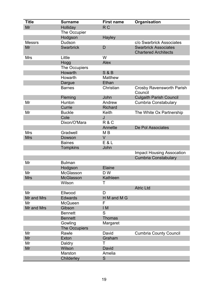| <b>Title</b>  | <b>Surname</b>   | <b>First name</b> | Organisation                                               |
|---------------|------------------|-------------------|------------------------------------------------------------|
| Mr            | Holliday         | R <sub>C</sub>    |                                                            |
|               | The Occupier     |                   |                                                            |
|               | Hodgson          | <b>Hayley</b>     |                                                            |
| <b>Messrs</b> | Dudson           |                   | c/o Swarbrick Associates                                   |
| Mr            | <b>Swarbrick</b> | D                 | <b>Swarbrick Associates</b><br><b>Chartered Architects</b> |
| <b>Mrs</b>    | Little           | W                 |                                                            |
|               | Hogg             | <b>Alex</b>       |                                                            |
|               | The Occupiers    |                   |                                                            |
|               | Howarth          | <b>S &amp; B</b>  |                                                            |
|               | Howarth          | <b>Matthew</b>    |                                                            |
|               | Dargue           | Ethan             |                                                            |
|               | <b>Barnes</b>    | Christian         | <b>Crosby Ravensworth Parish</b><br>Council                |
|               | Fleming          | John              | <b>Culgaith Parish Council</b>                             |
| Mr            | Hunton           | Andrew            | <b>Cumbria Constabulary</b>                                |
|               | Currie           | <b>Richard</b>    |                                                            |
| Mr            | <b>Buckle</b>    | Keith             | The White Ox Partnership                                   |
|               | Cole             | J                 |                                                            |
|               | Dixon/O'Mara     | R&C               |                                                            |
|               |                  | Annette           | De Pol Associates                                          |
| <b>Mrs</b>    | Gradwell         | M B               |                                                            |
| <b>Mrs</b>    | Dowson           | $\vee$            |                                                            |
|               | <b>Baines</b>    | E & L             |                                                            |
|               | <b>Tompkins</b>  | John              |                                                            |
|               |                  |                   | <b>Impact Housing Assocation</b>                           |
|               |                  |                   | <b>Cumbria Constabulary</b>                                |
| Mr            | <b>Bulman</b>    |                   |                                                            |
|               | Hodgson          | Elaine            |                                                            |
| Mr            | McGlasson        | D W               |                                                            |
| <b>Mrs</b>    | <b>McGlasson</b> | Kathleen          |                                                            |
|               | Wilson           | Τ                 |                                                            |
|               |                  |                   | <b>Atric Ltd</b>                                           |
| Mr            | Ellwood          | D                 |                                                            |
| Mr and Mrs    | <b>Edwards</b>   | H M and M G       |                                                            |
| Mr            | <b>McQueen</b>   | F                 |                                                            |
| Mr and Mrs    | Gibson           | IM                |                                                            |
|               | <b>Bennett</b>   | S                 |                                                            |
|               | <b>Bennett</b>   | <b>Thomas</b>     |                                                            |
|               | Gowling          | Margaret          |                                                            |
|               | The Occupiers    |                   |                                                            |
| Mr            | Rawle            | David             | <b>Cumbria County Council</b>                              |
| Mr            | <b>Exton</b>     | Graham            |                                                            |
| Mr            | Daldry           | Τ                 |                                                            |
| Mr            | Wilson           | David             |                                                            |
|               | Marston          | Amelia            |                                                            |
|               | Childerley       | S                 |                                                            |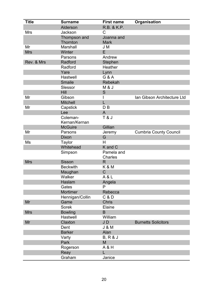| <b>Title</b> | <b>Surname</b>  | <b>First name</b>            | Organisation                  |
|--------------|-----------------|------------------------------|-------------------------------|
|              | Alderson        | R.B. & K.P.                  |                               |
| <b>Mrs</b>   | Jackson         | C                            |                               |
|              | Thompson and    | Joanna and                   |                               |
|              | Thornton        | <b>Mark</b>                  |                               |
| Mr           | Marshall        | J M                          |                               |
| <b>Mrs</b>   | Winter          | E                            |                               |
|              | Parsons         | Andrew                       |                               |
| Rev. & Mrs   | Radford         | Stephen                      |                               |
|              | Radford         | Heather                      |                               |
|              | Yare            | Lynn                         |                               |
|              | Hastwell        | G & A                        |                               |
|              | <b>Smaile</b>   | Rebekah                      |                               |
|              | Slessor         | M & J                        |                               |
|              | Hill            | S                            |                               |
| Mr           | Gibson          | I                            | Ian Gibson Architecture Ltd   |
|              | <b>Mitchell</b> | L                            |                               |
| Mr           | Capstick        | D B                          |                               |
|              | Lee             | $\overline{A}$               |                               |
|              | Coleman-        | <b>T&amp;J</b>               |                               |
|              | Kernan/Kernan   |                              |                               |
|              | <b>McGuire</b>  | Gillian                      |                               |
| Mr           | Parsons         | Jeremy                       | <b>Cumbria County Council</b> |
|              | <b>Dixon</b>    | G                            |                               |
| Ms           | Taylor          | H                            |                               |
|              | Whitehead       | K and C                      |                               |
|              | Simpson         | Pamela and<br><b>Charles</b> |                               |
| <b>Mrs</b>   | Sisson          | R.                           |                               |
|              | <b>Beckwith</b> | <b>K &amp; M</b>             |                               |
|              | Maughan         | $\mathsf C$                  |                               |
|              | Walker          | A & L                        |                               |
|              | Haslam          | Angela                       |                               |
|              | Gates           | P                            |                               |
|              | Mortimer        | Rebecca                      |                               |
|              | Hennigan/Collin | C & D                        |                               |
| Mr           | Game            | <b>Chris</b>                 |                               |
|              | <b>Sorek</b>    | Elaine                       |                               |
| <b>Mrs</b>   | <b>Bowling</b>  | B                            |                               |
|              | Hastwell        | William                      |                               |
| Mr           | Claxton         | JD                           | <b>Burnetts Solicitors</b>    |
|              | Dent            | <b>J &amp; M</b>             |                               |
|              | <b>Barker</b>   | Alan                         |                               |
|              | Varty           | $B, R &$ J                   |                               |
|              | Park            | M                            |                               |
|              | Rogerson        | A & H                        |                               |
|              | Reay            | L                            |                               |
|              | Graham          | Janice                       |                               |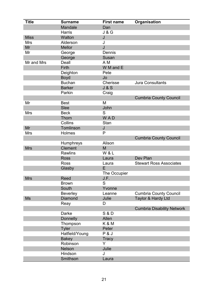| <b>Title</b> | <b>Surname</b>  | <b>First name</b>   | Organisation                      |
|--------------|-----------------|---------------------|-----------------------------------|
|              | Mandale         | Dan                 |                                   |
|              | <b>Harris</b>   | <b>J &amp; G</b>    |                                   |
| <b>Miss</b>  | Walton          | J                   |                                   |
| <b>Mrs</b>   | Alderson        | J                   |                                   |
| Mr           | <b>Mellor</b>   | J                   |                                   |
| Mr           | George          | Dennis              |                                   |
|              | George          | Susan               |                                   |
| Mr and Mrs   | Deall           | A M                 |                                   |
|              | Firth           | W M and E           |                                   |
|              | Deighton        | Pete                |                                   |
|              | <b>Boyd</b>     | Jo                  |                                   |
|              | <b>Buchan</b>   | Cherisse            | <b>Jura Consultants</b>           |
|              | <b>Barker</b>   | J & S               |                                   |
|              | Parkin          | Craig               |                                   |
|              |                 |                     | <b>Cumbria County Council</b>     |
| Mr           | <b>Best</b>     | M                   |                                   |
|              | <b>Slee</b>     | John                |                                   |
| <b>Mrs</b>   | <b>Beck</b>     | S                   |                                   |
|              | Thorn           | <b>WAD</b>          |                                   |
|              | Collins         | <b>Stan</b>         |                                   |
| Mr           | Tomlinson       | J                   |                                   |
| <b>Mrs</b>   | Holmes          | P                   |                                   |
|              |                 |                     | <b>Cumbria County Council</b>     |
|              | Humphreys       | Alison              |                                   |
| <b>Mrs</b>   | <b>Clement</b>  | M                   |                                   |
|              | <b>Rawlins</b>  | W & L               |                                   |
|              | <b>Ross</b>     | Laura               | Dev Plan                          |
|              | <b>Ross</b>     | Laura               | <b>Stewart Ross Associates</b>    |
|              | Glasby          | E                   |                                   |
|              |                 | <b>The Occupier</b> |                                   |
| <b>Mrs</b>   | <b>Reed</b>     | J.F.                |                                   |
|              | <b>Brown</b>    | S                   |                                   |
|              | South           | Yvonne              |                                   |
|              | <b>Beverley</b> | Leanne              | <b>Cumbria County Council</b>     |
| <b>Ms</b>    | <b>Diamond</b>  | Julie               | Taylor & Hardy Ltd                |
|              | Reay            | D                   |                                   |
|              |                 |                     | <b>Cumbria Disability Network</b> |
|              | <b>Darke</b>    | <b>S &amp; D</b>    |                                   |
|              | <b>Donnelly</b> | Allen               |                                   |
|              | Thompson        | K & M               |                                   |
|              | <b>Tyler</b>    | Peter               |                                   |
|              | Hatfield/Young  | <b>P &amp; J</b>    |                                   |
|              | <b>Bakey</b>    | <b>Tracy</b>        |                                   |
|              | Robinson        | Y                   |                                   |
|              | <b>Nelson</b>   | Julie               |                                   |
|              | Hindson         | J                   |                                   |
|              | Smithson        | Laura               |                                   |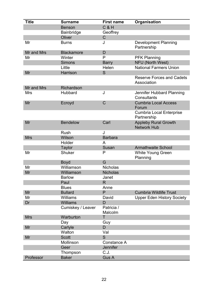| <b>Title</b> | <b>Surname</b>    | <b>First name</b>     | Organisation                                      |
|--------------|-------------------|-----------------------|---------------------------------------------------|
|              | <b>Benson</b>     | $C$ &H                |                                                   |
|              | Bainbridge        | Geoffrey              |                                                   |
|              | Oliver            | $\mathsf C$           |                                                   |
| Mr           | <b>Burns</b>      | J                     | <b>Development Planning</b><br>Partnership        |
| Mr and Mrs   | <b>Blackamore</b> | D                     |                                                   |
| Mr           | Winter            | P                     | <b>PFK Planning</b>                               |
|              | <b>Simons</b>     | <b>Barry</b>          | NFU (North West)                                  |
|              | Little            | Helen                 | <b>National Farmers Union</b>                     |
| Mr           | Harrison          | S                     |                                                   |
|              |                   |                       | <b>Reserve Forces and Cadets</b><br>Association   |
| Mr and Mrs   | Richardson        |                       |                                                   |
| <b>Mrs</b>   | Hubbard           | J                     | Jennifer Hubbard Planning<br>Consultants          |
| Mr           | Ecroyd            | $\mathsf C$           | <b>Cumbria Local Access</b><br>Forum              |
|              |                   |                       | <b>Cumbria Local Enterprise</b><br>Partnership    |
| Mr           | <b>Bendelow</b>   | Carl                  | <b>Appleby Rural Growth</b><br><b>Network Hub</b> |
|              | <b>Rush</b>       | J                     |                                                   |
| <b>Mrs</b>   | Wilson            | <b>Barbara</b>        |                                                   |
|              | Holder            | A                     |                                                   |
|              | <b>Taylor</b>     | Susan                 | <b>Armathwaite School</b>                         |
| Mr           | <b>Shuker</b>     | P                     | <b>White Young Green</b><br>Planning              |
|              | <b>Boyd</b>       | G                     |                                                   |
| Mr           | Williamson        | <b>Nicholas</b>       |                                                   |
| Mr           | Williamson        | <b>Nicholas</b>       |                                                   |
|              | <b>Barlow</b>     | Janet                 |                                                   |
|              | Paul              | R                     |                                                   |
|              | <b>Blues</b>      | Anne                  |                                                   |
| Mr           | <b>Bullard</b>    | P                     | <b>Cumbria Wildlife Trust</b>                     |
| Mr           | <b>Williams</b>   | David                 | <b>Upper Eden History Society</b>                 |
| Dr           | <b>Williams</b>   | D                     |                                                   |
|              | Cumiskey / Leaver | Patricia /<br>Malcolm |                                                   |
| <b>Mrs</b>   | Warburton         | T                     |                                                   |
|              | Day               | Guy                   |                                                   |
| Mr           | Carlyle           | D                     |                                                   |
|              | Walton            | Val                   |                                                   |
| Mr           | <b>Scott</b>      | S                     |                                                   |
|              | Mollinson         | Constance A           |                                                   |
|              | Geer              | <b>Jennifer</b>       |                                                   |
|              | Thompson          | C.J.                  |                                                   |
| Professor    | <b>Baker</b>      | Gus A                 |                                                   |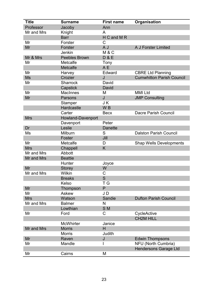| <b>Title</b> | <b>Surname</b>       | <b>First name</b> | Organisation                     |
|--------------|----------------------|-------------------|----------------------------------|
| Professor    | Jacoby               | Ann               |                                  |
| Mr and Mrs   | Knight               | A                 |                                  |
|              | <b>Barr</b>          | H C and M R       |                                  |
| Mr           | Forster              | C                 |                                  |
| Mr           | Forster              | A J               | A J Forster Limited              |
|              | Jenkin               | <b>M&amp;C</b>    |                                  |
| Mr & Mrs     | <b>Peebles Brown</b> | <b>D&amp;E</b>    |                                  |
| Mr           | Metcalfe             | Tony              |                                  |
|              | Metcalfe             | A E               |                                  |
| Mr           | Harvey               | Edward            | <b>CBRE Ltd Planning</b>         |
| <b>Ms</b>    | Crozier              | J                 | <b>Cumwhitton Parish Council</b> |
| Mr           | <b>Sharrock</b>      | David             |                                  |
|              | Capstick             | David             |                                  |
| Mr           | <b>MacInnes</b>      | M                 | <b>MMI Ltd</b>                   |
| Mr           | Parsons              | J                 | <b>JMP Consulting</b>            |
|              | Stamper              | J K               |                                  |
|              | Hardcastle           | W <sub>B</sub>    |                                  |
|              | Carter               | <b>Becx</b>       | <b>Dacre Parish Council</b>      |
| <b>Mrs</b>   | Howland-Davenport    |                   |                                  |
|              | Davenport            | Peter             |                                  |
| Dr           | Leslie               | <b>Danette</b>    |                                  |
| Ms           | Milburn              | S                 | <b>Dalston Parish Council</b>    |
|              | Foster               | Jill              |                                  |
| Mr           | Metcalfe             | D                 | <b>Shap Wells Developments</b>   |
| <b>Mrs</b>   | Chappell             | K                 |                                  |
| Mr and Mrs   | <b>Abbott</b>        |                   |                                  |
| Mr and Mrs   | <b>Beattie</b>       |                   |                                  |
|              | Hunter               | Joyce             |                                  |
| Mr           | <b>Storey</b>        | W                 |                                  |
| Mr and Mrs   | Wilkin               | C                 |                                  |
|              | <b>Breaks</b>        | S                 |                                  |
|              | Kelso                | ТG                |                                  |
| Mr           | Thompson             | P                 |                                  |
| Mr           | Askew                | JD                |                                  |
| <b>Mrs</b>   | Watson               | Sandie            | <b>Dufton Parish Council</b>     |
| Mr and Mrs   | <b>Balmer</b>        | N                 |                                  |
|              | Lowthian             | S <sub>M</sub>    |                                  |
| Mr           | Ford                 | C                 | CycleActive                      |
|              |                      |                   | <b>CH2M HILL</b>                 |
|              | <b>McWhirter</b>     | Janice            |                                  |
| Mr and Mrs   | <b>Morris</b>        | H                 |                                  |
|              | <b>Morris</b>        | Judith            |                                  |
| Mr           | Raven                | J                 | <b>Edwin Thompsons</b>           |
| Mr           | Mandle               |                   | <b>NFU (North Cumbria)</b>       |
|              |                      |                   | <b>Hendersons Garage Ltd</b>     |
| Mr           | Cairns               | M                 |                                  |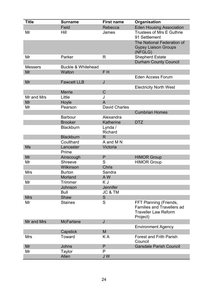| <b>Title</b>   | <b>Surname</b>                | <b>First name</b>         | Organisation                                                                                           |
|----------------|-------------------------------|---------------------------|--------------------------------------------------------------------------------------------------------|
|                | Field                         | Rebecca                   | <b>Eden Housing Association</b>                                                                        |
| Mr             | Hill                          | James                     | <b>Trustees of Mrs E Guthrie</b><br>91 Settlement                                                      |
|                |                               |                           | The National Federation of<br><b>Gypsy Liaison Groups</b><br>(NFGLG)                                   |
| Mr             | Parker                        | R                         | <b>Shepherd Estate</b>                                                                                 |
| <b>Messers</b> | <b>Buckle &amp; Whitehead</b> |                           | <b>Durham County Council</b>                                                                           |
| Mr             | Walton                        | F <sub>H</sub>            |                                                                                                        |
|                |                               |                           | <b>Eden Access Forum</b>                                                                               |
| Mr             | <b>Fawcett LLB</b>            | J                         |                                                                                                        |
|                |                               |                           | <b>Electricity North West</b>                                                                          |
|                | <b>Merrie</b>                 | $\mathsf C$               |                                                                                                        |
| Mr and Mrs     | Little                        | J                         |                                                                                                        |
| Mr             | Hoyle                         | A                         |                                                                                                        |
| Mr             | Pearson                       | <b>David Charles</b>      |                                                                                                        |
|                |                               |                           | <b>Cumbrian Homes</b>                                                                                  |
|                | <b>Barbour</b>                | Alexandra                 |                                                                                                        |
|                | <b>Brooker</b>                | Katherine                 | <b>DTZ</b>                                                                                             |
|                | <b>Blackburn</b>              | Lynda /<br><b>Richard</b> |                                                                                                        |
|                | <b>Blackburn</b>              | R.                        |                                                                                                        |
|                | Coulthard                     | A and M N                 |                                                                                                        |
| <b>Ms</b>      | Lancaster                     | Victoria                  |                                                                                                        |
|                | Prime                         |                           |                                                                                                        |
| Mr             | Ainscough                     | P                         | <b>HIMOR Group</b>                                                                                     |
| Mr             | <b>Shreeve</b>                | S                         | <b>HIMOR Group</b>                                                                                     |
|                | Wilkinson                     | <b>Chris</b>              |                                                                                                        |
| <b>Mrs</b>     | <b>Burton</b>                 | Sandra                    |                                                                                                        |
|                | Morland                       | A W                       |                                                                                                        |
| Mr             | Trimmer                       | K J                       |                                                                                                        |
|                | Johnson                       | <b>Jennifer</b>           |                                                                                                        |
|                | Bull                          | JC & TM                   |                                                                                                        |
| <b>Mrs</b>     | Shaw                          | S                         |                                                                                                        |
| Mr             | <b>Staines</b>                | S                         | FFT Planning (Friends,<br><b>Families and Travellers ad</b><br><b>Traveller Law Reform</b><br>Project) |
| Mr and Mrs     | <b>McFarlane</b>              | J                         |                                                                                                        |
|                |                               |                           | <b>Environment Agency</b>                                                                              |
|                | Capstick                      | M                         |                                                                                                        |
| <b>Mrs</b>     | <b>Toward</b>                 | KA                        | <b>Forest and Frith Parish</b><br>Council                                                              |
| Mr             | Johns                         | P                         | <b>Garsdale Parish Council</b>                                                                         |
| Mr             | <b>Taylor</b>                 | P                         |                                                                                                        |
|                | Allen                         | JW                        |                                                                                                        |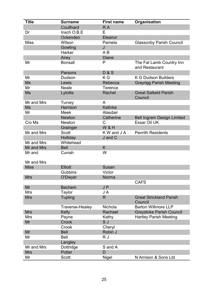| <b>Title</b>              | <b>Surname</b>           | <b>First name</b> | Organisation                               |
|---------------------------|--------------------------|-------------------|--------------------------------------------|
|                           | Coulthard                | R A               |                                            |
| Dr                        | Insch O.B.E              | E                 |                                            |
|                           | Ockenden                 | Eleanor           |                                            |
| <b>Miss</b>               | Wilson                   | Pamela            | <b>Glassonby Parish Council</b>            |
|                           | Gowling                  | J                 |                                            |
|                           | Harker                   | A B               |                                            |
|                           | Airey                    | <b>Diane</b>      |                                            |
| Mr                        | <b>Bonsall</b>           | $\mathsf{P}$      | The Fat Lamb Country Inn<br>and Restaurant |
|                           | Parsons                  | <b>D&amp;S</b>    |                                            |
| Mr                        | Dudson                   | K G               | <b>K G Dudson Builders</b>                 |
| <b>Ms</b>                 | Lewis                    | Rebecca           | <b>Grayrigg Parish Meeting</b>             |
| Mr                        | <b>Neale</b>             | <b>Terence</b>    |                                            |
| <b>Ms</b>                 | Lytollis                 | Rachel            | <b>Great Salkeld Parish</b><br>Council     |
| Mr and Mrs                | Turvey                   | A                 |                                            |
| <b>Ms</b>                 | <b>Harrison</b>          | Katinka           |                                            |
| Mr                        | Meek                     | Alasdair          |                                            |
|                           | <b>Newton</b>            | Catherine         | <b>Bell Ingram Design Limited</b>          |
| C/o Ms                    | <b>Newton</b>            | C                 | <b>Essar Oil UK</b>                        |
|                           | Grainger                 | <b>W&amp;H</b>    |                                            |
| Mr and Mrs                | <b>Scott</b>             | K W and J A       | <b>Penrith Residents</b>                   |
|                           | Holliday                 | J and C           |                                            |
| Mr and Mrs                | Whitehead                |                   |                                            |
| Mr and Mrs                | <b>Bell</b>              | K                 |                                            |
| Mr and                    | Currah                   | W                 |                                            |
|                           |                          |                   |                                            |
| Mr and Mrs<br><b>Miss</b> | <b>Elliott</b>           | Susan             |                                            |
|                           | <b>Gubbins</b>           | Victor            |                                            |
| <b>Mrs</b>                |                          | Norma             |                                            |
|                           | O'Dwyer                  |                   | <b>CAFS</b>                                |
| Mr                        | <b>Bachem</b>            | JP                |                                            |
| <b>Mrs</b>                |                          | J A               |                                            |
| <b>Mrs</b>                | Taylor<br><b>Tupling</b> | $\mathsf{R}$      | <b>Great Strickland Parish</b>             |
|                           |                          |                   | Council                                    |
|                           | <b>Traverse-Healey</b>   | Nichola           | <b>Barton Willmore LLP</b>                 |
| <b>Mrs</b>                | Kelly                    | Rachael           | <b>Greystoke Parish Council</b>            |
| Mrs                       | Payne                    | Kathy             | <b>Hartley Parish Meeting</b>              |
| Mr                        | Crook                    | S J               |                                            |
|                           | Crook                    | Cheryl            |                                            |
| Mr                        | <b>Bell</b>              | Robin J           |                                            |
| Mr                        | <b>Bell</b>              | R J               |                                            |
|                           | Langley                  |                   |                                            |
| Mr and Mrs                | Dottridge                | S and A           |                                            |
| <b>Mrs</b>                | Potter                   | D                 |                                            |
| Mr                        | <b>Scott</b>             | <b>Nigel</b>      | N Arnison & Sons Ltd                       |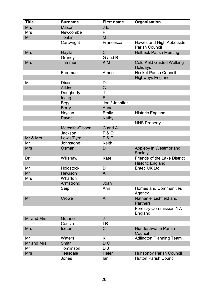| <b>Title</b> | <b>Surname</b>   | <b>First name</b> | Organisation                                      |
|--------------|------------------|-------------------|---------------------------------------------------|
| <b>Mrs</b>   | Mason            | J E               |                                                   |
| <b>Mrs</b>   | Newcombe         | P                 |                                                   |
| Mr           | <b>Tonkin</b>    | M                 |                                                   |
|              | Cartwright       | Francesca         | Hawes and High Abbotside<br><b>Parish Council</b> |
| <b>Mrs</b>   | Hayllar          | $\mathsf C$       | <b>Helbeck Parish Meeting</b>                     |
|              | Grundy           | G and B           |                                                   |
| <b>Mrs</b>   | Trimmer          | K <sub>M</sub>    | <b>Cold Keld Guided Walking</b><br>Holidays       |
|              | Freeman          | Amee              | <b>Hesket Parish Council</b>                      |
|              |                  |                   | <b>Highways England</b>                           |
| Mr           | Dixon            | D                 |                                                   |
|              | <b>Atkins</b>    | G                 |                                                   |
|              | Dougherty        | J                 |                                                   |
|              | Irving           | E                 |                                                   |
|              | Begg             | Jon / Jennifer    |                                                   |
|              | <b>Berry</b>     | Anne              |                                                   |
|              | Hrycan           | Emily             | <b>Historic England</b>                           |
|              | Payne            | Kathy             |                                                   |
|              |                  |                   | <b>NHS Property</b>                               |
|              | Metcalfe-Gibson  | C and A           |                                                   |
|              | Jackson          | <b>F&amp;O</b>    |                                                   |
| Mr & Mrs     | Lewis/Eyre       | $P$ &E            |                                                   |
| Mr           | Johnstone        | Keith             |                                                   |
| <b>Mrs</b>   | Osman            | D                 | Appleby in Westmorland<br>Society                 |
| Dr           | Willshaw         | Kate              | <b>Friends of the Lake District</b>               |
|              |                  |                   | <b>Historic England</b>                           |
| Mr           | <b>Holdstock</b> | D                 | <b>Entec UK Ltd</b>                               |
| Mr           | <b>Hewison</b>   | A                 |                                                   |
| <b>Mrs</b>   | Wharton          |                   |                                                   |
|              | Armstrong        | Joan              |                                                   |
|              | Seip             | Ann               | <b>Homes and Communities</b><br>Agency            |
| Mr           | Crowe            | $\overline{A}$    | Nathaniel Lichfield and<br><b>Partners</b>        |
|              |                  |                   | <b>Forestry Commission NW</b><br>England          |
| Mr and Mrs   | <b>Guthrie</b>   | J                 |                                                   |
|              | Cousin           | IR                |                                                   |
| <b>Mrs</b>   | Iceton           | $\mathsf C$       | <b>Hunderthwaite Parish</b><br>Council            |
| Mr           | Waters           | K                 | <b>Adlington Planning Team</b>                    |
| Mr and Mrs   | <b>Smith</b>     | D <sub>C</sub>    |                                                   |
| Mr           | Tomlinson        | DJ                |                                                   |
| <b>Mrs</b>   | <b>Teasdale</b>  | Helen             | <b>Hunsonby Parish Council</b>                    |
|              | Jones            | lan               | <b>Hutton Parish Council</b>                      |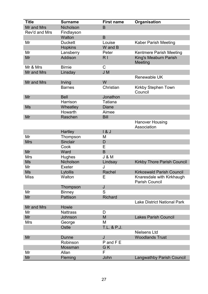| <b>Title</b>  | <b>Surname</b>   | <b>First name</b> | Organisation                                       |
|---------------|------------------|-------------------|----------------------------------------------------|
| Mr and Mrs    | <b>Nicholson</b> | B                 |                                                    |
| Rev'd and Mrs | Findlayson       |                   |                                                    |
|               | Walton           | B                 |                                                    |
| Mr            | <b>Duckett</b>   | Louise            | <b>Kaber Parish Meeting</b>                        |
|               | <b>Hopkins</b>   | W and B           |                                                    |
| Mr            | Lansberry        | Peter             | Kentmere Parish Meeting                            |
| Mr            | Addison          | R <sub>1</sub>    | King's Meaburn Parish<br>Meeting                   |
| Mr & Mrs      | <b>Birnie</b>    | C                 |                                                    |
| Mr and Mrs    | Linsday          | J M               |                                                    |
|               |                  |                   | <b>Renewable UK</b>                                |
| Mr and Mrs    | Irving           | W                 |                                                    |
|               | <b>Barnes</b>    | Christian         | <b>Kirkby Stephen Town</b><br>Council              |
| Mr            | <b>Bell</b>      | Jonathon          |                                                    |
|               | Harrison         | <b>Tatiana</b>    |                                                    |
| <b>Ms</b>     | Wheatley         | <b>Diane</b>      |                                                    |
|               | Howarth          | Aimee             |                                                    |
| Mr            | Raschen          | <b>Bill</b>       |                                                    |
|               |                  |                   | <b>Hanover Housing</b><br>Association              |
|               | <b>Hartley</b>   | 18J               |                                                    |
| Mr            | Thompson         | M                 |                                                    |
| <b>Mrs</b>    | <b>Sinclair</b>  | D                 |                                                    |
|               | Cook             | Е                 |                                                    |
| Mr            | Ward             | B                 |                                                    |
| <b>Mrs</b>    | Hughes           | <b>J &amp; M</b>  |                                                    |
| <b>Ms</b>     | Nicholson        | Lindsay           | <b>Kirkby Thore Parish Council</b>                 |
| Mr            | Exeter           | J                 |                                                    |
| <b>Ms</b>     | Lytollis         | Rachel            | <b>Kirkoswald Parish Council</b>                   |
| <b>Miss</b>   | Walton           | E                 | Knaresdale with Kirkhaugh<br><b>Parish Council</b> |
|               | Thompson         | J                 |                                                    |
| Mr            | <b>Binney</b>    | S                 |                                                    |
| Mr            | Pattison         | <b>Richard</b>    |                                                    |
|               |                  |                   | <b>Lake District National Park</b>                 |
| Mr and Mrs    | Howie            |                   |                                                    |
| Mr            | <b>Nattrass</b>  | D                 |                                                    |
| Mr            | Johnson          | M                 | <b>Lakes Parish Council</b>                        |
| <b>Mrs</b>    | George           | M                 |                                                    |
|               | Ostle            | T.L. & P.J.       |                                                    |
|               |                  |                   | <b>Nielsens Ltd</b>                                |
| Mr            | Dunne            | J                 | <b>Woodlands Trust</b>                             |
|               | Robinson         | P and F E         |                                                    |
|               | Mossman          | GK                |                                                    |
| Mr            | Allan            | F                 |                                                    |
| Mr            | Fleming          | John              | <b>Langwathby Parish Council</b>                   |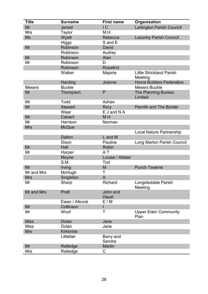| <b>Title</b>  | <b>Surname</b> | <b>First name</b>   | Organisation                               |
|---------------|----------------|---------------------|--------------------------------------------|
| Mr            | <b>Jerred</b>  | IC                  | <b>Lartington Parish Council</b>           |
| <b>Mrs</b>    | Taylor         | M.H.                |                                            |
| <b>Ms</b>     | Wyatt          | Rebecca             | <b>Lazonby Parish Council</b>              |
|               | <b>Higgs</b>   | S and E             |                                            |
| Mr            | Robinson       | <b>David</b>        |                                            |
|               | Robinson       | Audrey              |                                            |
| Mr            | Robinson       | Alan                |                                            |
| Mr            | Robinson       | D                   |                                            |
|               | Robinson       | <b>Rosalind</b>     |                                            |
|               | Walker         | Majorie             | <b>Little Strickland Parish</b><br>Meeting |
|               | Harding        | Joanne              | <b>Home Builders Federation</b>            |
| <b>Messrs</b> | <b>Buckle</b>  |                     | <b>Messrs Buckle</b>                       |
| Mr            | Thompson       | P                   | The Planning Bureau<br>Limited             |
| Mr            | Todd           | Adrian              |                                            |
| Mr            | <b>Stewart</b> | Rory                | <b>Penrith and The Border</b>              |
|               | Wear           | E J and N A         |                                            |
| Mr            | <b>Calvert</b> | M <sub>H</sub>      |                                            |
| Mr            | Harrison       | Norman              |                                            |
| <b>Mrs</b>    | <b>McQue</b>   |                     |                                            |
|               |                |                     | <b>Local Nature Partnership</b>            |
|               | <b>Dalton</b>  | L and M             |                                            |
|               | Dixon          | Pauline             | <b>Long Marton Parish Council</b>          |
| Mr            | Hall           | <b>Robin</b>        |                                            |
| Mr            | Harper         | A T                 |                                            |
|               | Mayne          | Louise / Alistair   |                                            |
|               | S.M.           | Tod                 |                                            |
| Mr            | Irving         | M                   | <b>Punch Taverns</b>                       |
| Mr and Mrs    | McHugh         | Τ                   |                                            |
| <b>Mrs</b>    | Singleton      | A                   |                                            |
| Mr            | Sharp          | Richard             | Longsleddale Parish<br>Meeting             |
| Mr and Mrs    | Pratt          | John and<br>Hazel   |                                            |
|               | Ewan / Allcock | E/M                 |                                            |
| Mr            | Collinson      |                     |                                            |
| Mr            | Woof           | т                   | <b>Upper Eden Community</b><br>Plan        |
| <b>Miss</b>   | Dolan          | Jane                |                                            |
| <b>Miss</b>   | Dolan          | Jane                |                                            |
| <b>Mrs</b>    | Kirkbride      |                     |                                            |
|               | Littlefair     | Barry and<br>Sandra |                                            |
| Mr            | Ratledge       | <b>Martin</b>       |                                            |
| <b>Mrs</b>    | Ratledge       | С                   |                                            |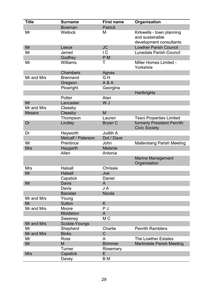| <b>Title</b>  | <b>Surname</b>     | <b>First name</b> | Organisation                                                            |
|---------------|--------------------|-------------------|-------------------------------------------------------------------------|
|               | <b>Bowman</b>      | <b>Patrick</b>    |                                                                         |
| Mr            | Wellock            | M                 | Kirkwells - town planning<br>and sustainable<br>development consultants |
| Mr            | Leece              | <b>JC</b>         | <b>Lowther Parish Council</b>                                           |
| Mr            | Jerred             | $\overline{C}$    | <b>Lunedale Parish Council</b>                                          |
|               | Godfrey            | P <sub>M</sub>    |                                                                         |
| Mr            | Williams           | Τ                 | Miller Homes Limited -<br>Yorkshire                                     |
|               | <b>Chambers</b>    | Agnes             |                                                                         |
| Mr and Mrs    | <b>Brennand</b>    | GH                |                                                                         |
|               | Gregson            | A & A             |                                                                         |
|               | Plowright          | Georgina          |                                                                         |
|               |                    |                   | Hartbrights                                                             |
|               | Potter             | Alan              |                                                                         |
| Mr            | Lancaster          | W J               |                                                                         |
| Mr and Mrs    | Cleasby            |                   |                                                                         |
| <b>Messrs</b> | Cleasby            | M                 |                                                                         |
|               | Thompson           | Lauren            | <b>Tesni Properties Limited</b>                                         |
| Dr            | Lindley            | Bryan C           | formerly President Penrith<br><b>Civic Society</b>                      |
| Dr            | Heyworth           | Judith A          |                                                                         |
|               | Metcalf / Paterson | Dot / Dave        |                                                                         |
| Mr            | Prentince          | John              | <b>Mallerstang Parish Meeting</b>                                       |
| <b>Mrs</b>    | Haygarth           | <b>Melanie</b>    |                                                                         |
|               | Allen              | Antonia           |                                                                         |
|               |                    |                   | <b>Marine Management</b><br>Organisation                                |
| <b>Mrs</b>    | Halsall            | <b>Chrissie</b>   |                                                                         |
| Mr            | <b>Halsall</b>     | Joe               |                                                                         |
|               | Capstick           | Daniel            |                                                                         |
| Mr            | <b>Davis</b>       | $\mathsf{A}$      |                                                                         |
|               | Davis              | J A               |                                                                         |
|               | <b>Banister</b>    | <b>Nicola</b>     |                                                                         |
| Mr and Mrs    | Young              |                   |                                                                         |
| Mr            | <b>Sutton</b>      | K                 |                                                                         |
| Mr and Mrs    | Moore              | P J               |                                                                         |
|               | Middleton          | A                 |                                                                         |
|               | Sweeney            | M <sub>C</sub>    |                                                                         |
| Mr and Mrs    | Scobie-Youngs      |                   |                                                                         |
| Mr            | Shepherd           | Charlie           | <b>Penrith Ramblers</b>                                                 |
| Mr and Mrs    | <b>Binks</b>       | $\mathsf C$       |                                                                         |
| Mr            | <b>Ross</b>        | A                 | The Lowther Estates                                                     |
| Mr            | M                  | <b>Brimmer</b>    | <b>Martindale Parish Meeting</b>                                        |
|               | Turner             | Rosemary          |                                                                         |
| <b>Mrs</b>    | Capstick           | E                 |                                                                         |
|               | Davey              | B <sub>M</sub>    |                                                                         |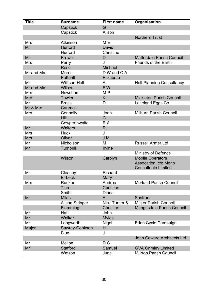| <b>Title</b> | <b>Surname</b>         | <b>First name</b> | Organisation                      |
|--------------|------------------------|-------------------|-----------------------------------|
|              | Capstick               | G                 |                                   |
|              | Capstick               | Alison            |                                   |
|              |                        |                   | <b>Northern Trust</b>             |
| <b>Mrs</b>   | <b>Atkinson</b>        | M E               |                                   |
| Mr           | Hurford                | David             |                                   |
|              | Hurford                | <b>Christine</b>  |                                   |
| Mr           | <b>Brown</b>           | D                 | <b>Matterdale Parish Council</b>  |
| <b>Mrs</b>   | Perry                  | J                 | <b>Friends of the Earth</b>       |
|              | Rose                   | <b>Michael</b>    |                                   |
| Mr and Mrs   | <b>Morris</b>          | D W and C A       |                                   |
|              | <b>Botterill</b>       | Elizabeth         |                                   |
| Mr           | <b>Willison-Holt</b>   | A                 | <b>Holt Planning Consultancy</b>  |
| Mr and Mrs   | Wilson                 | FW                |                                   |
| <b>Mrs</b>   | Newsham                | M <sub>P</sub>    |                                   |
| <b>Mrs</b>   | <b>Towler</b>          | K                 | <b>Mickleton Parish Council</b>   |
| Mr           | <b>Brass</b>           | D                 | Lakeland Eggs Co.                 |
| Mr & Mrs     | Cartmell               |                   |                                   |
| <b>Mrs</b>   | Connelly               | Joan              | <b>Milburn Parish Council</b>     |
|              | <b>Hill</b>            | $\mathsf C$       |                                   |
|              | Cowperthwaite          | R A               |                                   |
| Mr           | <b>Walters</b>         | $\mathsf{R}$      |                                   |
| <b>Mrs</b>   | <b>Huck</b>            | J                 |                                   |
| <b>Mrs</b>   | Oliver                 | J M               |                                   |
| Mr           | Nicholson              | M                 | <b>Russell Armer Ltd</b>          |
| Mr           | Turnbull               | <b>Irvine</b>     |                                   |
|              |                        |                   | Ministry of Defence               |
|              | Wilson                 | Carolyn           | <b>Mobile Operators</b>           |
|              |                        |                   | Assocation, c/o Mono              |
|              |                        |                   | <b>Consultants Limited</b>        |
| Mr           | Cleasby                | <b>Richard</b>    |                                   |
|              | <b>Birbeck</b>         | Mary              |                                   |
| <b>Mrs</b>   | Runkee                 | Andrea            | <b>Morland Parish Council</b>     |
|              | Tinn                   | <b>Christine</b>  |                                   |
|              | Smith                  | Diana             |                                   |
| Mr           | <b>Miles</b>           | A                 | <b>Sustrans</b>                   |
|              | <b>Alison Stringer</b> | Nick Turner &     | <b>Muker Parish Council</b>       |
|              | Flemming               | <b>Christine</b>  | <b>Mungrisdale Parish Council</b> |
| Mr           | Hatt                   | John              |                                   |
| Mr           | <b>Walker</b>          | <b>Myles</b>      |                                   |
| Mr           | Longworth              | <b>Nigel</b>      | Eden Cycle Campaign               |
| Major        | Sawrey-Cookson         | H                 |                                   |
|              | <b>Blue</b>            | J                 |                                   |
|              |                        |                   | <b>John Coward Architects Ltd</b> |
| Mr           | Mellon                 | D <sub>C</sub>    |                                   |
| Mr           | <b>Stafford</b>        | Samuel            | <b>GVA Grimley Limited</b>        |
|              | Watson                 | June              | <b>Murton Parish Council</b>      |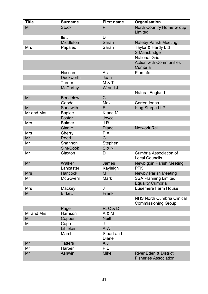| <b>Title</b> | <b>Surname</b>   | <b>First name</b>                 | Organisation                                                     |
|--------------|------------------|-----------------------------------|------------------------------------------------------------------|
| Mr           | <b>Stock</b>     | P                                 | <b>North Country Home Group</b><br>Limited                       |
|              | llett            | D                                 |                                                                  |
|              | Middleton        | Sarah                             | <b>Nateby Parish Meeting</b>                                     |
| <b>Mrs</b>   | Papaleo          | Sarah                             | Taylor & Hardy Ltd                                               |
|              |                  |                                   | S Mansbridge                                                     |
|              |                  |                                   | <b>National Grid</b>                                             |
|              |                  |                                   | <b>Action with Communities</b><br>Cumbria                        |
|              | Hassan           | Alla                              | PlanInfo                                                         |
|              | <b>Duckworth</b> | Jean                              |                                                                  |
|              | Turner           | <b>M &amp; T</b>                  |                                                                  |
|              | <b>McCarthy</b>  | W and J                           |                                                                  |
|              |                  |                                   | <b>Natural England</b>                                           |
| Mr           | <b>Bendelow</b>  | $\overline{C}$                    |                                                                  |
|              | Goode            | Max                               | <b>Carter Jonas</b>                                              |
| Mr           | Sandwith         | F                                 | <b>King Sturge LLP</b>                                           |
| Mr and Mrs   | <b>Baglee</b>    | K and M                           |                                                                  |
|              | Foster           | Joyce                             |                                                                  |
| <b>Mrs</b>   | <b>Balmer</b>    | JR                                |                                                                  |
|              | <b>Clarke</b>    | <b>Diane</b>                      | <b>Network Rail</b>                                              |
| <b>Mrs</b>   | Cherry           | PA                                |                                                                  |
| Mr           | <b>Reed</b>      | C                                 |                                                                  |
| Mr           | Shannon          | Stephen                           |                                                                  |
|              | Sim/Cook         | <b>S &amp; N</b>                  |                                                                  |
| Mr           | Claxton          | D                                 | <b>Cumbria Association of</b><br><b>Local Councils</b>           |
| Mr           | Walker           | James                             | Newbiggin Parish Meeting                                         |
|              | Lancaster        | Kayleigh                          | <b>PFK</b>                                                       |
| <b>Mrs</b>   | Hancock          | M                                 | <b>Newby Parish Meeting</b>                                      |
| Mr           | <b>McGovern</b>  | <b>Mark</b>                       | <b>SSA Planning Limited</b>                                      |
|              |                  |                                   | <b>Equality Cumbria</b>                                          |
| <b>Mrs</b>   | Mackey           | J                                 | <b>Eusemere Farm House</b>                                       |
| Mr           | <b>Birkett</b>   | Frank                             |                                                                  |
|              |                  |                                   | <b>NHS North Cumbria Clinical</b><br><b>Commissioning Group</b>  |
|              | Page             | R, C & D                          |                                                                  |
| Mr and Mrs   | Harrison         | A & M                             |                                                                  |
| Mr           | Copper           | <b>Neill</b>                      |                                                                  |
| Mr           | Cope             | J                                 |                                                                  |
|              | Littlefair       | A W                               |                                                                  |
|              | Marsh            | <b>Stuart and</b><br><b>Diane</b> |                                                                  |
| Mr           | <b>Tatters</b>   | A J                               |                                                                  |
| Mr           | Harper           | P E                               |                                                                  |
| Mr           | <b>Ashwin</b>    | <b>Mike</b>                       | <b>River Eden &amp; District</b><br><b>Fisheries Association</b> |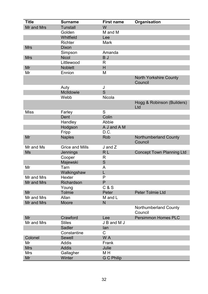| <b>Title</b> | <b>Surname</b>         | <b>First name</b> | Organisation                             |
|--------------|------------------------|-------------------|------------------------------------------|
| Mr and Mrs   | <b>Tunstall</b>        | W                 |                                          |
|              | Golden                 | M and M           |                                          |
|              | Whitfield              | Lee               |                                          |
|              | <b>Richter</b>         | <b>Mark</b>       |                                          |
| <b>Mrs</b>   | <b>Dixon</b>           |                   |                                          |
|              | Simpson                | Amanda            |                                          |
| <b>Mrs</b>   | <b>Nicol</b>           | B J               |                                          |
|              | Littlewood             | R                 |                                          |
| Mr           | <b>Noblett</b>         | H                 |                                          |
| Mr           | Ennion                 | M                 |                                          |
|              |                        |                   | <b>North Yorkshire County</b><br>Council |
|              | Auty                   | J                 |                                          |
|              | McIldowie              | S                 |                                          |
|              | Webb                   | Nicola            |                                          |
|              |                        |                   | Hogg & Robinson (Builders)<br>Ltd        |
| <b>Miss</b>  | Farley                 | S                 |                                          |
|              | Dent                   | Colin             |                                          |
|              | Handley                | Abbie             |                                          |
|              | Hodgson                | A J and A M       |                                          |
|              | Fripp                  | D.C.              |                                          |
| Mr           | <b>Naples</b>          | Rob               | <b>Northumberland County</b><br>Council  |
| Mr and Ms    | <b>Grice and Mills</b> | $J$ and $Z$       |                                          |
| <b>Ms</b>    | Jennings               | RL                | <b>Concept Town Planning Ltd</b>         |
|              | Cooper                 | R                 |                                          |
|              | Majewski               | S                 |                                          |
| Mr           | Tarn                   | A                 |                                          |
|              | Walkingshaw            | L                 |                                          |
| Mr and Mrs   | Hexter                 | P                 |                                          |
| Mr and Mrs   | Richardson             | P                 |                                          |
|              | Young                  | C & S             |                                          |
| Mr           | <b>Tolmie</b>          | Peter             | <b>Peter Tolmie Ltd</b>                  |
| Mr and Mrs   | Allan                  | M and L           |                                          |
| Mr and Mrs   | <b>Moore</b>           | N                 |                                          |
|              |                        |                   | <b>Northumberland County</b><br>Council  |
| Mr           | Crawford               | Lee               | <b>Persimmon Homes PLC</b>               |
| Mr and Mrs   | <b>Stiles</b>          | J B and M J       |                                          |
|              | <b>Sadler</b>          | lan               |                                          |
|              | Constantine            | C                 |                                          |
| Colonel      | Sewell                 | W A               |                                          |
| Mr           | <b>Addis</b>           | Frank             |                                          |
| <b>Mrs</b>   | <b>Addis</b>           | Julie             |                                          |
| <b>Mrs</b>   | Gallagher              | M H               |                                          |
| Mr           | Winter                 | <b>G C Philip</b> |                                          |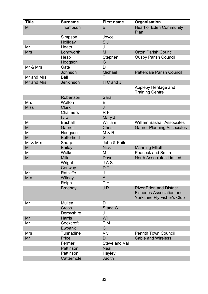| <b>Title</b> | <b>Surname</b>     | <b>First name</b> | Organisation                                                                                      |
|--------------|--------------------|-------------------|---------------------------------------------------------------------------------------------------|
| Mr           | Thompson           | B                 | <b>Heart of Eden Community</b><br>Plan                                                            |
|              | Simpson            | Joyce             |                                                                                                   |
|              | Holliday           | S J               |                                                                                                   |
| Mr           | <b>Heath</b>       | J                 |                                                                                                   |
| <b>Mrs</b>   | Longworth          | M                 | <b>Orton Parish Council</b>                                                                       |
|              | Heap               | Stephen           | <b>Ousby Parish Council</b>                                                                       |
|              | Hodgson            | G                 |                                                                                                   |
| Mr & Mrs     | Gate               | D                 |                                                                                                   |
|              | Johnson            | Michael           | <b>Patterdale Parish Council</b>                                                                  |
| Mr and Mrs   | Ball               | Τ                 |                                                                                                   |
| Mr and Mrs   | Jenkinson          | H C and J         |                                                                                                   |
|              |                    |                   | Appleby Heritage and<br><b>Training Centre</b>                                                    |
|              | Robertson          | <b>Sara</b>       |                                                                                                   |
| <b>Mrs</b>   | Walton             | E                 |                                                                                                   |
| <b>Miss</b>  | <b>Clark</b>       | J                 |                                                                                                   |
|              | <b>Chalmers</b>    | R F               |                                                                                                   |
|              | Law                | Mary J            |                                                                                                   |
| Mr           | <b>Bashall</b>     | William           | <b>William Bashall Associates</b>                                                                 |
| Mr           | Garner             | <b>Chris</b>      | <b>Garner Planning Associates</b>                                                                 |
| Mr           | Hodgson            | M & R             |                                                                                                   |
| Mr           | <b>Butterfield</b> | S                 |                                                                                                   |
| Mr & Mrs     | Sharp              | John & Kaite      |                                                                                                   |
| Mr           | <b>Bailey</b>      | <b>Nick</b>       | <b>Manning Elliott</b>                                                                            |
| Mr           | Walker             | M                 | <b>Peacock and Smith</b>                                                                          |
| Mr           | <b>Miller</b>      | Dave              | <b>North Associates Limited</b>                                                                   |
|              | Wright             | J A S             |                                                                                                   |
|              | Conway             | D T               |                                                                                                   |
| Mr           | Ratcliffe          | J                 |                                                                                                   |
| <b>Mrs</b>   | Witney             | A                 |                                                                                                   |
|              | Relph              | TH <sub></sub>    |                                                                                                   |
|              | <b>Bradney</b>     | JR                | <b>River Eden and District</b><br><b>Fisheries Association and</b><br>Yorkshire Fly Fisher's Club |
| Mr           | Mullen             | D                 |                                                                                                   |
|              | <b>Cross</b>       | S and C           |                                                                                                   |
|              | Derbyshire         | J                 |                                                                                                   |
| Mr           | <b>Harris</b>      | Will              |                                                                                                   |
| Mr           | Cockcroft          | T M               |                                                                                                   |
|              | <b>Ewbank</b>      | $\mathsf C$       |                                                                                                   |
| <b>Mrs</b>   | Tunnadine          | Viv               | <b>Penrith Town Council</b>                                                                       |
| Mr           | Price              | D                 | <b>Cable and Wireless</b>                                                                         |
|              | Fermer             | Steve and Val     |                                                                                                   |
|              | Pattinson          | <b>Neal</b>       |                                                                                                   |
|              | Pattinson          | Hayley            |                                                                                                   |
|              | Cattermole         | Judith            |                                                                                                   |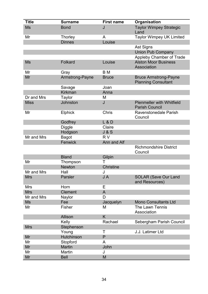| <b>Title</b> | <b>Surname</b>    | <b>First name</b> | Organisation                                               |
|--------------|-------------------|-------------------|------------------------------------------------------------|
| <b>Ms</b>    | <b>Bond</b>       | J                 | <b>Taylor Wimpey Strategic</b><br>Land                     |
| Mr           | Thorley           | A                 | <b>Taylor Wimpey UK Limited</b>                            |
|              | <b>Dinnes</b>     | Louise            |                                                            |
|              |                   |                   | <b>Ast Signs</b>                                           |
|              |                   |                   | <b>Union Pub Company</b>                                   |
|              |                   |                   | <b>Appleby Chamber of Trade</b>                            |
| <b>Ms</b>    | Folkard           | Louise            | <b>Alston Moor Business</b><br>Association                 |
| Mr           | Gray              | B M               |                                                            |
| Mr           | Armstrong-Payne   | <b>Bruce</b>      | <b>Bruce Armstrong-Payne</b><br><b>Planning Consultant</b> |
|              | Savage            | Joan              |                                                            |
|              | <b>Kirkman</b>    | Anna              |                                                            |
| Dr and Mrs   | <b>Taylor</b>     | M                 |                                                            |
| <b>Miss</b>  | Johnston          | J                 | <b>Plenmeller with Whitfield</b><br><b>Parish Council</b>  |
| Mr           | <b>Elphick</b>    | Chris             | Ravenstonedale Parish<br>Council                           |
|              | Godfrey           | $L$ &D            |                                                            |
|              | <b>Diggle</b>     | Claire            |                                                            |
|              | Hodgson           | J & S             |                                                            |
| Mr and Mrs   | <b>Bagot</b>      | <b>RV</b>         |                                                            |
|              | Fenwick           | Ann and Alf       |                                                            |
|              |                   |                   | <b>Richmondshire District</b><br>Council                   |
|              | <b>Bland</b>      | Gilpin            |                                                            |
| Mr           | Thompson          | Т                 |                                                            |
|              | <b>Newton</b>     | <b>Christine</b>  |                                                            |
| Mr and Mrs   | Hall              | J                 |                                                            |
| <b>Mrs</b>   | Parsler           | J A               | <b>SOLAR (Save Our Land</b><br>and Resources)              |
| <b>Mrs</b>   | Horn              | Е                 |                                                            |
| <b>Mrs</b>   | <b>Clement</b>    | A                 |                                                            |
| Mr and Mrs   | Naylor            | D                 |                                                            |
| <b>Ms</b>    | Fee               | Jacquelyn         | <b>Mono Consultants Ltd</b>                                |
| Mr           | Fisher            | M                 | The Lawn Tennis<br>Association                             |
|              | Allison           | K                 |                                                            |
|              | Kelly             | Rachael           | Sebergham Parish Council                                   |
| <b>Mrs</b>   | Stephenson        |                   |                                                            |
|              | Young             | Τ                 | J.J. Latimer Ltd                                           |
| Mr           | <b>Hutchinson</b> | P                 |                                                            |
| Mr           | Stopford          | A                 |                                                            |
| Mr           | <b>Martin</b>     | John              |                                                            |
| Mr           | Martin            | J                 |                                                            |
| Mr           | <b>Bell</b>       | M                 |                                                            |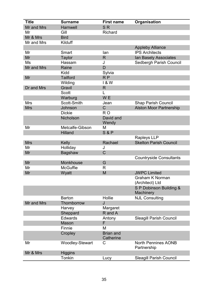| <b>Title</b> | <b>Surname</b>  | <b>First name</b> | Organisation                              |
|--------------|-----------------|-------------------|-------------------------------------------|
| Mr and Mrs   | <b>Harnwell</b> | S <sub>R</sub>    |                                           |
| Mr           | Gill            | Richard           |                                           |
| Mr & Mrs     | <b>Bird</b>     |                   |                                           |
| Mr and Mrs   | Kilduff         |                   |                                           |
|              |                 |                   | <b>Appleby Alliance</b>                   |
| Mr           | Smart           | lan               | <b>IPS Architects</b>                     |
| Mr           | <b>Taylor</b>   | $\mathsf{R}$      | Ian Basely Associates                     |
| Ms           | Hassam          | J                 | Sedbergh Parish Council                   |
| Mr and Mrs   | Raine           | D                 |                                           |
|              | Kidd            | Sylvia            |                                           |
| Mr           | <b>Tailford</b> | RP                |                                           |
|              | Wilding         | 1 & W             |                                           |
| Dr and Mrs   | Gravil          | R.                |                                           |
|              | <b>Scott</b>    |                   |                                           |
|              | Warburg         | W <sub>E</sub>    |                                           |
| <b>Mrs</b>   | Scott-Smith     | Jean              | <b>Shap Parish Council</b>                |
| <b>Mrs</b>   | Johnson         | $\mathsf{C}$      | <b>Alston Moor Partnership</b>            |
|              | <b>Dickie</b>   | R <sub>O</sub>    |                                           |
|              | Nicholson       | David and         |                                           |
|              |                 | Wendy             |                                           |
| Mr           | Metcalfe-Gibson | M                 |                                           |
|              | <b>Hilland</b>  | <b>S&amp;P</b>    |                                           |
|              |                 |                   | Rapleys LLP                               |
| <b>Mrs</b>   | <b>Kelly</b>    | Rachael           | <b>Skelton Parish Council</b>             |
| Mr           | Holliday        | J                 |                                           |
| Mr           | <b>Bagshaw</b>  | C                 |                                           |
|              |                 |                   | <b>Countryside Consultants</b>            |
| Mr           | Monkhouse       | G                 |                                           |
| Mr           | <b>McGuffie</b> | R                 |                                           |
| Mr           | Wyatt           | M                 | <b>JWPC Limited</b>                       |
|              |                 |                   | <b>Graham K Norman</b>                    |
|              |                 |                   | (Architect) Ltd                           |
|              |                 |                   | S P Dobinson Building &                   |
|              |                 |                   | Machinery                                 |
|              | <b>Barton</b>   | Hollie            | <b>NJL Consulting</b>                     |
| Mr and Mrs   | Thornborrow     | J                 |                                           |
|              | Harvey          | Margaret          |                                           |
|              | Sheppard        | R and A           |                                           |
|              | Edwards         | Antony            | <b>Sleagill Parish Council</b>            |
|              | <b>Mason</b>    | F                 |                                           |
|              | Finnie          | М                 |                                           |
|              | Cropley         | <b>Brian and</b>  |                                           |
|              |                 | Catherine         |                                           |
| Mr           | Woodley-Stewart | С                 | <b>North Pennines AONB</b><br>Partnership |
| Mr & Mrs     |                 |                   |                                           |
|              | <b>Higgins</b>  |                   |                                           |
|              | Tonkin          | Lucy              | <b>Sleagill Parish Council</b>            |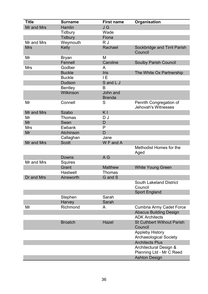| <b>Title</b> | <b>Surname</b>  | <b>First name</b>         | Organisation                                            |
|--------------|-----------------|---------------------------|---------------------------------------------------------|
| Mr and Mrs   | Hamlin          | J G                       |                                                         |
|              | <b>Tidbury</b>  | Wade                      |                                                         |
|              | <b>Tidbury</b>  | Fiona                     |                                                         |
| Mr and Mrs   | Weymouth        | R J                       |                                                         |
| <b>Mrs</b>   | Kelly           | Rachael                   | Sockbridge and Tirril Parish<br>Council                 |
| Mr           | <b>Bryan</b>    | M                         |                                                         |
|              | Fennell         | Caroline                  | <b>Soulby Parish Council</b>                            |
| <b>Mrs</b>   | Godber          | A                         |                                                         |
|              | <b>Buckle</b>   | <b>Iris</b>               | The White Ox Partnership                                |
|              | <b>Buckle</b>   | IE                        |                                                         |
|              | <b>Dudson</b>   | S and L J                 |                                                         |
|              | <b>Bentley</b>  | B                         |                                                         |
|              | Wilkinson       | John and<br><b>Brenda</b> |                                                         |
| Mr           | Connell         | S                         | Penrith Congregation of<br><b>Jehovah's Witnesses</b>   |
| Mr and Mrs   | <b>Szabo</b>    | K <sub>I</sub>            |                                                         |
| Mr           | Thomas          | DJ                        |                                                         |
| Mr           | Swan            | D                         |                                                         |
| Mrs          | Ewbank          | P                         |                                                         |
| Mr           | Atchinson       | D                         |                                                         |
|              | Callaghan       | Jane                      |                                                         |
| Mr and Mrs   | <b>Scott</b>    | W F and A                 |                                                         |
|              |                 |                           | Methodist Homes for the<br>Aged                         |
|              | Downs           | A G                       |                                                         |
| Mr and Mrs   | Squires         |                           |                                                         |
|              | Grant           | <b>Matthew</b>            | <b>White Young Green</b>                                |
|              | <b>Hastwell</b> | Thomas                    |                                                         |
| Dr and Mrs   | Ainsworth       | G and S                   |                                                         |
|              |                 |                           | <b>South Lakeland District</b><br>Council               |
|              |                 |                           | <b>Sport England</b>                                    |
|              | Stephen         | Sarah                     |                                                         |
|              | Harvey          | Sarah                     |                                                         |
| Mr           | Richmond        | A                         | <b>Cumbria Army Cadet Force</b>                         |
|              |                 |                           | <b>Abacus Building Design</b>                           |
|              |                 |                           | <b>ADK Architects</b>                                   |
|              | <b>Broatch</b>  | <b>Hazel</b>              | <b>St Cuthbert Without Parish</b><br>Council            |
|              |                 |                           | <b>Appleby History</b><br><b>Archaeological Society</b> |
|              |                 |                           | <b>Architects Plus</b>                                  |
|              |                 |                           | Architectural Design &<br>Planning Ltd - Mr C Reed      |
|              |                 |                           | <b>Ashton Design</b>                                    |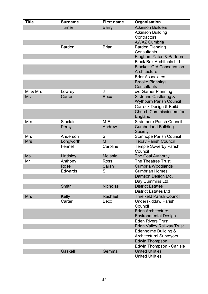| <b>Title</b> | <b>Surname</b> | <b>First name</b> | Organisation                               |
|--------------|----------------|-------------------|--------------------------------------------|
|              | <b>Turner</b>  | <b>Barry</b>      | <b>Atkinson Builders</b>                   |
|              |                |                   | <b>Atkinson Building</b>                   |
|              |                |                   | Contractors                                |
|              |                |                   | <b>AWAZ Cumbria</b>                        |
|              | <b>Barden</b>  | <b>Brian</b>      | <b>Barden Planning</b>                     |
|              |                |                   | <b>Consultants</b>                         |
|              |                |                   | <b>Bingham Yates &amp; Partners</b>        |
|              |                |                   | <b>Black Box Architects Ltd</b>            |
|              |                |                   | <b>Blackett-Ord Conservation</b>           |
|              |                |                   | Architecture                               |
|              |                |                   | <b>Brier Associates</b>                    |
|              |                |                   | <b>Brooke Planning</b>                     |
|              |                |                   | <b>Consultants</b>                         |
| Mr & Mrs     | Lowrey         | J                 | c/o Garner Planning                        |
| Ms           | Carter         | <b>Becx</b>       | St Johns Castlerigg &                      |
|              |                |                   | <b>Wythburn Parish Council</b>             |
|              |                |                   | Carrock Design & Build                     |
|              |                |                   | <b>Church Commissioners for</b><br>England |
| Mrs          | Sinclair       | M <sub>E</sub>    | <b>Stainmore Parish Council</b>            |
|              | Percy          | Andrew            | <b>Cumberland Building</b>                 |
|              |                |                   | Society                                    |
| <b>Mrs</b>   | Anderson       | S                 | <b>Stanhope Parish Council</b>             |
| <b>Mrs</b>   | Longworth      | M                 | <b>Tebay Parish Council</b>                |
|              | Fennel         | Caroline          | <b>Temple Sowerby Parish</b>               |
|              |                |                   | Council                                    |
| <b>Ms</b>    | Lindsley       | Melanie           | <b>The Coal Authority</b>                  |
| Mr           | Anthony        | <b>Ross</b>       | <b>The Theatres Trust</b>                  |
|              | Rose           | Sarah             | <b>Cumbria Woodlands</b>                   |
|              | <b>Edwards</b> | S                 | <b>Cumbrian Homes</b>                      |
|              |                |                   | Damson Design Ltd.                         |
|              |                |                   | Day Cummins Ltd.                           |
|              | Smith          | <b>Nicholas</b>   | <b>District Estates</b>                    |
|              |                |                   | <b>District Estates Ltd</b>                |
| <b>Mrs</b>   | Kelly          | Rachael           | <b>Threlkeld Parish Council</b>            |
|              | Carter         | <b>Becx</b>       | <b>Underskiddaw Parish</b>                 |
|              |                |                   | Council                                    |
|              |                |                   | Eden Architecture:                         |
|              |                |                   | <b>Environmental Design</b>                |
|              |                |                   | <b>Eden Rivers Trust</b>                   |
|              |                |                   | <b>Eden Valley Railway Trust</b>           |
|              |                |                   | Edenholme Building &                       |
|              |                |                   | <b>Architectural Surveyors</b>             |
|              |                |                   | <b>Edwin Thompson</b>                      |
|              |                |                   | Edwin Thompson - Carlisle                  |
|              | Gaskell        | Gemma             | <b>United Utilities</b>                    |
|              |                |                   | <b>United Utilities</b>                    |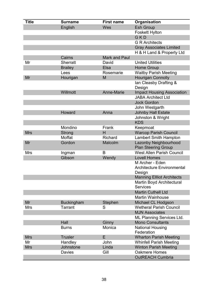| <b>Title</b> | <b>Surname</b>    | <b>First name</b>    | Organisation                                                   |
|--------------|-------------------|----------------------|----------------------------------------------------------------|
|              | English           | Wes                  | <b>Esh Group</b>                                               |
|              |                   |                      | <b>Foskett Hylton</b>                                          |
|              |                   |                      | GKD                                                            |
|              |                   |                      | <b>G R Architects</b>                                          |
|              |                   |                      | <b>Gray Associates Limited</b>                                 |
|              |                   |                      | H & H Land & Property Ltd                                      |
|              | Cairns            | <b>Mark and Paul</b> |                                                                |
| Mr           | <b>Sherratt</b>   | David                | <b>United Utilities</b>                                        |
|              | <b>Brailey</b>    | Elsa                 | <b>Home Group</b>                                              |
|              | Lees              | Rosemarie            | <b>Waitby Parish Meeting</b>                                   |
| Mr           | Hourigan          | M                    | <b>Hourigan Connolly</b>                                       |
|              |                   |                      | Ian Cleasby Drafting &<br>Design                               |
|              | Willmott          | Anne-Marie           | <b>Impact Housing Association</b><br><b>JABA Architect Ltd</b> |
|              |                   |                      | <b>Jock Gordon</b>                                             |
|              |                   |                      | John Westgarth                                                 |
|              | Howard            | Anna                 | <b>Johnby Hall Estate</b>                                      |
|              |                   |                      | Johnston & Wright                                              |
|              |                   |                      | <b>KDS</b>                                                     |
|              | Mondino           | Frank                | Keepmoat                                                       |
| <b>Mrs</b>   | <b>Strong</b>     | H                    | <b>Warcop Parish Council</b>                                   |
|              | Moffat            | <b>Richard</b>       | Lambert Smith Hampton                                          |
| Mr           | Gordon            | Malcolm              | Lazonby Neighbourhood<br><b>Plan Steering Group</b>            |
| <b>Mrs</b>   | Ingman            | B                    | <b>West Allen Parish Council</b>                               |
|              | Gibson            | Wendy                | <b>Lovell Homes</b>                                            |
|              |                   |                      | M Archer - Eden                                                |
|              |                   |                      | <b>Architecture Environmental</b><br>Design                    |
|              |                   |                      | <b>Manning Ellliot Architects</b>                              |
|              |                   |                      | Martin Boyd Architectural<br><b>Services</b>                   |
|              |                   |                      | <b>Martin Cuthell Ltd</b>                                      |
|              |                   |                      | <b>Martin Wainhouse</b>                                        |
| Mr           | <b>Buckingham</b> | Stephen              | Michael CL Hodgson                                             |
| Mrs          | Tarrant           | S                    | <b>Wetheral Parish Council</b>                                 |
|              |                   |                      | <b>MJN Associates</b>                                          |
|              |                   |                      | <b>ML Planning Services Ltd.</b>                               |
|              | Hall              | Ginny                | <b>Mono Consultants</b>                                        |
|              | <b>Burns</b>      | Monica               | <b>National Housing</b><br>Federation                          |
| <b>Mrs</b>   | <b>Trusler</b>    | E                    | <b>Wharton Parish Meeting</b>                                  |
| Mr           | Handley           | John                 | <b>Whinfell Parish Meeting</b>                                 |
| <b>Mrs</b>   | Johnstone         | Linda                | <b>Winton Parish Meeting</b>                                   |
|              | <b>Davies</b>     | Gill                 | <b>Oakmere Homes</b>                                           |
|              |                   |                      | <b>OutREACH Cumbria</b>                                        |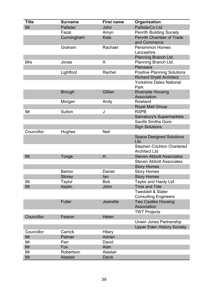| <b>Title</b> | <b>Surname</b>   | <b>First name</b> | Organisation                                                |
|--------------|------------------|-------------------|-------------------------------------------------------------|
| Mr           | <b>Pallister</b> | John              | <b>PallisterCo Ltd</b>                                      |
|              | Fazal            | Amyn              | <b>Penrith Building Society</b>                             |
|              | Cunningham       | Kate              | <b>Penrith Chamber of Trade</b><br>and Commerce             |
|              | Graham           | Rachael           | <b>Persimmon Homes</b><br>Lancashire                        |
|              |                  |                   | Planning Branch Ltd.                                        |
| <b>Mrs</b>   | Jones            | A                 | Planning Branch Ltd.                                        |
|              |                  |                   | Planware                                                    |
|              | Lightfoot        | Rachel            | <b>Positive Planning Solutions</b>                          |
|              |                  |                   | <b>Richard Dryell Architect</b>                             |
|              |                  |                   | <b>Yorkshire Dales National</b><br>Park                     |
|              | <b>Brough</b>    | Gillian           | <b>Riverside Housing</b><br>Association                     |
|              | Morgan           | Andy              | Rowland                                                     |
|              |                  |                   | <b>Royal Mail Group</b>                                     |
| Mr           | Sutton           | J                 | <b>RSPB</b>                                                 |
|              |                  |                   | Sainsbury's Supermarkets                                    |
|              |                  |                   | <b>Savills Smiths Gore</b>                                  |
|              |                  |                   | <b>Sign Solutions</b>                                       |
| Councillor   | Hughes           | <b>Neil</b>       |                                                             |
|              |                  |                   | <b>Space Designed Solutions</b><br>Ltd.                     |
|              |                  |                   | <b>Stephen Crichton Chartered</b><br><b>Architect Ltd</b>   |
| Mr           | Tonge            | H                 | <b>Steven Abbott Associates</b>                             |
|              |                  |                   | <b>Steven Abbott Associates</b>                             |
|              |                  |                   | <b>Story Homes</b>                                          |
|              | <b>Barton</b>    | Daniel            | <b>Story Homes</b>                                          |
|              | Storey           | lan               | <b>Story Homes</b>                                          |
| Mr           | Taylor           | <b>Bob</b>        | <b>Taylor and Hardy Ltd</b>                                 |
| Mr           | <b>Asplin</b>    | John              | <b>Time and Tide</b>                                        |
|              |                  |                   | <b>Tweddell &amp; Slater</b><br><b>Consulting Engineers</b> |
|              | <b>Fuller</b>    | Jeanette          | <b>Two Castles Housing</b><br>Association                   |
|              |                  |                   | <b>TWT Projects</b>                                         |
| Councillor   | Fearon           | Helen             |                                                             |
|              |                  |                   | Unwin Jones Partnership                                     |
|              |                  |                   | <b>Upper Eden History Society</b>                           |
| Councillor   | Carrick          | <b>Hilary</b>     |                                                             |
| Mr           | Palmer           | Adrian            |                                                             |
| Mr           | Parr             | David             |                                                             |
| Mr           | Fox              | Alan              |                                                             |
| Mr           | Robertson        | Alastair          |                                                             |
| Mr           | <b>Alastair</b>  | <b>Davis</b>      |                                                             |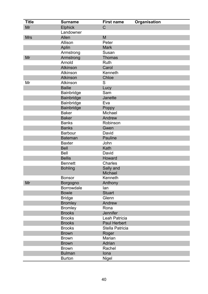| <b>Title</b> | <b>Surname</b>    | <b>First name</b>   | Organisation |
|--------------|-------------------|---------------------|--------------|
| Mr           | <b>Elphick</b>    | $\mathsf C$         |              |
|              | Landowner         |                     |              |
| <b>Mrs</b>   | Allen             | M                   |              |
|              | Allison           | Peter               |              |
|              | Aplin             | <b>Mark</b>         |              |
|              | Armstrong         | Susan               |              |
| Mr           | Armstrong         | <b>Thomas</b>       |              |
|              | Arnold            | Ruth                |              |
|              | <b>Atkinson</b>   | Carol               |              |
|              | Atkinson          | Kenneth             |              |
|              | Atkinson          | Chloe               |              |
| Mr           | Atkinson          | S                   |              |
|              | <b>Bailie</b>     | Lucy                |              |
|              | Bainbridge        | Sam                 |              |
|              | <b>Bainbridge</b> | Janette             |              |
|              | Bainbridge        | Eva                 |              |
|              | <b>Bainbridge</b> | Poppy               |              |
|              | <b>Baker</b>      | Michael             |              |
|              | <b>Baker</b>      | Andrew              |              |
|              | <b>Banks</b>      | Robinson            |              |
|              | <b>Banks</b>      | Gwen                |              |
|              | <b>Barbour</b>    | David               |              |
|              | <b>Bateman</b>    | <b>Pauline</b>      |              |
|              | <b>Baxter</b>     | John                |              |
|              | <b>Bell</b>       | Kath                |              |
|              | <b>Bell</b>       | David               |              |
|              | <b>Bellis</b>     | <b>Howard</b>       |              |
|              | <b>Bennett</b>    | Charles             |              |
|              | <b>Bohling</b>    | Sally and           |              |
|              |                   | <b>Michael</b>      |              |
|              | <b>Bonsor</b>     | Kenneth             |              |
| Mr           | Borgogno          | Anthony             |              |
|              | <b>Borrowdale</b> | lan                 |              |
|              | <b>Bowie</b>      | <b>Stuart</b>       |              |
|              | <b>Bridge</b>     | Glenn               |              |
|              | <b>Bromley</b>    | Andrew              |              |
|              | <b>Bromley</b>    | Rona                |              |
|              | <b>Brooks</b>     | Jennifer            |              |
|              | <b>Brooks</b>     | Leah Patricia       |              |
|              | <b>Brooks</b>     | <b>Paul Herbert</b> |              |
|              | <b>Brooks</b>     | Stella Patricia     |              |
|              | <b>Brown</b>      | Roger               |              |
|              | <b>Brown</b>      | Marian              |              |
|              | <b>Brown</b>      | Adrian              |              |
|              | <b>Brown</b>      | Rachel              |              |
|              | <b>Bulman</b>     | lona                |              |
|              | <b>Burton</b>     | Nigel               |              |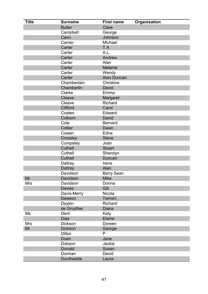| <b>Title</b> | <b>Surname</b>  | <b>First name</b> | Organisation |
|--------------|-----------------|-------------------|--------------|
|              | <b>Butler</b>   | Clare             |              |
|              | Campbell        | George            |              |
|              | Cann            | Johnson           |              |
|              | Carrier         | Michael           |              |
|              | Carter          | T.A               |              |
|              | Carter          | A.L.              |              |
|              | Carter          | Andrew            |              |
|              | Carter          | Alan              |              |
|              | Carter          | <b>Melanie</b>    |              |
|              | Carter          | Wendy             |              |
|              | Carter          | Alan Duncan       |              |
|              | Chamberlain     | <b>Christine</b>  |              |
|              | Chamberlin      | David             |              |
|              | Clarke          | Emma              |              |
|              | Cleave          | Margaret          |              |
|              | Cleave          | <b>Richard</b>    |              |
|              | <b>Clifford</b> | Carol             |              |
|              | Coates          | Edward            |              |
|              | Colborn         | David             |              |
|              | Cole            | <b>Bernard</b>    |              |
|              | Collier         | Dawn              |              |
|              | Cowan           | Edna              |              |
|              | Crossley        | <b>Steve</b>      |              |
|              | Cumpstey        | Joan              |              |
|              | Cuthell         | <b>Stuart</b>     |              |
|              | Cuthell         | Sherolyn          |              |
|              | <b>Cuthell</b>  | Duncan            |              |
|              | Daltrey         | Irene             |              |
|              | <b>Daltrey</b>  | Alan              |              |
|              | Davidson        | <b>Barry Sean</b> |              |
| Mr           | Davidson        | <b>Mike</b>       |              |
| <b>Mrs</b>   | Davidson        | Donna             |              |
|              | <b>Davies</b>   | Gill              |              |
|              | Davis-Merry     | Nicola            |              |
|              | Dawson          | <b>Tamsin</b>     |              |
|              | Daykin          | Richard           |              |
|              | de Gruyther     | Diana             |              |
| Ms           | Dent            | Katy              |              |
|              | <b>Dias</b>     | Elaine            |              |
| <b>Mrs</b>   | <b>Dickson</b>  | Doreen            |              |
| Mr           | <b>Dickson</b>  | George            |              |
|              | <b>Dillon</b>   | P                 |              |
|              | Doan            | Jane              |              |
|              | Dobson          | Jackie            |              |
|              | Donald          | Susan             |              |
|              | Dorman          | David             |              |
|              | Douthwaite      | Laura             |              |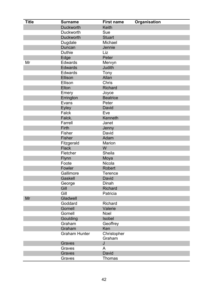| <b>Title</b> | <b>Surname</b>       | <b>First name</b>     | <b>Organisation</b> |
|--------------|----------------------|-----------------------|---------------------|
|              | <b>Duckworth</b>     | Keith                 |                     |
|              | <b>Duckworth</b>     | Sue                   |                     |
|              | <b>Duckworth</b>     | <b>Stuart</b>         |                     |
|              | Dugdale              | Michael               |                     |
|              | Duncan               | Jennie                |                     |
|              | <b>Duthie</b>        | Liz                   |                     |
|              | Edge                 | Peter                 |                     |
| Mr           | Edwards              | Mervyn                |                     |
|              | <b>Edwards</b>       | Judith                |                     |
|              | Edwards              | Tony                  |                     |
|              | Ellison              | Allan                 |                     |
|              | Ellison              | Chris                 |                     |
|              | Elton                | <b>Richard</b>        |                     |
|              | Emery                | Joyce                 |                     |
|              | Errington            | <b>Beatrice</b>       |                     |
|              | Evans                | Peter                 |                     |
|              | <b>Eyley</b>         | David                 |                     |
|              | Falck                | Eve                   |                     |
|              | Falck.               | Kenneth               |                     |
|              | Farrell              | Janet                 |                     |
|              | Firth                | Jenny                 |                     |
|              | Fisher               | David                 |                     |
|              | Fisher               | Adam                  |                     |
|              | Fitzgerald           | Marion                |                     |
|              | <b>Flack</b>         | W                     |                     |
|              | Fletcher             | Sheila                |                     |
|              | Flynn                | Moya                  |                     |
|              | Foote                | Nicola                |                     |
|              | Fowler               | Robert                |                     |
|              | Gallimore            | <b>Terence</b>        |                     |
|              | Gaskell              | David                 |                     |
|              | George               | Dinah                 |                     |
|              | Gill                 | <b>Richard</b>        |                     |
|              | Gill                 | Patricia              |                     |
| Mr           | Gladwell             |                       |                     |
|              | Goddard              | <b>Richard</b>        |                     |
|              | Gornell              | Valerie               |                     |
|              | Gornell              | Noel                  |                     |
|              | Goulding             | Isobel                |                     |
|              | Graham               | Geoffrey              |                     |
|              | Graham               | Ken                   |                     |
|              | <b>Graham Hunter</b> | Christopher<br>Graham |                     |
|              | Graves               | J                     |                     |
|              | Graves               | A                     |                     |
|              | Graves               | David                 |                     |
|              | Graves               | <b>Thomas</b>         |                     |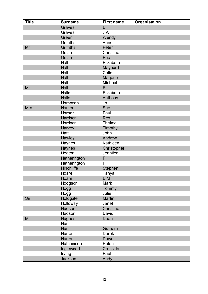| <b>Title</b> | <b>Surname</b>   | <b>First name</b> | Organisation |
|--------------|------------------|-------------------|--------------|
|              | Graves           | E                 |              |
|              | Graves           | JA                |              |
|              | Green            | Wendy             |              |
|              | <b>Griffiths</b> | Anne              |              |
| Mr           | <b>Griffiths</b> | Peter             |              |
|              | Guise            | Christine         |              |
|              | Guise            | Eric              |              |
|              | Hall             | Elizabeth         |              |
|              | Hall             | Maynard           |              |
|              | Hall             | Colin             |              |
|              | Hall             | Marjorie          |              |
|              | Hall             | Michael           |              |
| Mr           | Hall             | R.                |              |
|              | <b>Halls</b>     | Elizabeth         |              |
|              | <b>Halls</b>     | Anthony           |              |
|              | Hampson          | Jo                |              |
| <b>Mrs</b>   | Harker           | Sue               |              |
|              | Harper           | Paul              |              |
|              | Harrison         | Rex               |              |
|              | Harrison         | Thelma            |              |
|              | Harvey           | Timothy           |              |
|              | Hatt             | John              |              |
|              | Hawley           | Andrew            |              |
|              | Haynes           | Kathleen          |              |
|              | <b>Haynes</b>    | Christopher       |              |
|              | Heaton           | <b>Jennifer</b>   |              |
|              | Hetherington     | F                 |              |
|              | Hetherington     | F                 |              |
|              | Hinchliffe       | Stephen           |              |
|              | Hoare            | Tanya             |              |
|              | Hoare            | E M               |              |
|              | Hodgson          | Mark              |              |
|              | Hogg             | Tommy             |              |
|              | Hogg             | Julie             |              |
| Sir          | Holdgate         | <b>Martin</b>     |              |
|              | Holloway         | Janet             |              |
|              | Hudson           | <b>Christine</b>  |              |
|              | Hudson           | David             |              |
| Mr           | <b>Hughes</b>    | Dean              |              |
|              | Hunt             | Jill              |              |
|              | Hunt             | Graham            |              |
|              | Hurton           | <b>Derek</b>      |              |
|              | Hurton           | Dawn              |              |
|              | Hutchinson       | Helen             |              |
|              | Inglewood        | Cressida          |              |
|              | Irving           | Paul              |              |
|              | Jackson          | Andy              |              |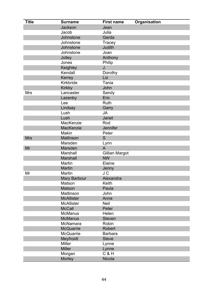| <b>Title</b> | <b>Surname</b>             | <b>First name</b> | <b>Organisation</b> |
|--------------|----------------------------|-------------------|---------------------|
|              | <b>Jackson</b>             | Jean              |                     |
|              | Jacob                      | Julia             |                     |
|              | Johnstone                  | Gerda             |                     |
|              | Johnstone                  | Tracey            |                     |
|              | Johnstone                  | Judith            |                     |
|              | Johnstone                  | Joan              |                     |
|              | Jolley                     | Anthony           |                     |
|              | Jones                      | Philip            |                     |
|              | Keighley                   | J.                |                     |
|              | Kendall                    | Dorothy           |                     |
|              | Kerrey                     | Liz               |                     |
|              | Kirkbride                  | Tania             |                     |
|              | <b>Kirkby</b>              | John              |                     |
| <b>Mrs</b>   | Lancaster                  | Sandy             |                     |
|              | Lazenby                    | Eric              |                     |
|              | Lee                        | Ruth              |                     |
|              | Lindsay                    | Garry             |                     |
|              | Lush                       | <b>JA</b>         |                     |
|              | Lush                       | Janet             |                     |
|              | MacKenzie                  | Rod               |                     |
|              | MacKenzie                  | <b>Jennifer</b>   |                     |
|              | <b>Makin</b>               | Peter             |                     |
| <b>Mrs</b>   | Mallinson                  | S                 |                     |
|              | Marsden                    | Lynn              |                     |
| Mr           | Marsden                    | A                 |                     |
|              | Marshall                   | Gillian Margot    |                     |
|              | <b>Marshall</b>            | <b>NW</b>         |                     |
|              | Martin                     | Elaine            |                     |
|              | <b>Martin</b>              | Jenny             |                     |
| Mr           | <b>Martin</b>              | J C               |                     |
|              | <b>Mary Barbour</b>        | Alexandra         |                     |
|              | Matson                     | Keith             |                     |
|              | <b>Matson</b><br>Mattinson | Paula             |                     |
|              | <b>McAllister</b>          | John<br>Anne      |                     |
|              | <b>McAllister</b>          | <b>Neil</b>       |                     |
|              | <b>McCall</b>              | Peter             |                     |
|              | <b>McManus</b>             | Helen             |                     |
|              | <b>McManus</b>             | <b>Steven</b>     |                     |
|              | McNamara                   | Robin             |                     |
|              | <b>McQuarrie</b>           | <b>Robert</b>     |                     |
|              | <b>McQuarrie</b>           | <b>Barbara</b>    |                     |
|              | Meyfroidt                  | <b>Steve</b>      |                     |
|              | <b>Miller</b>              | Lynne             |                     |
|              | <b>Miller</b>              | Lynne             |                     |
|              | Morgan                     | $C$ & $H$         |                     |
|              | Morley                     | <b>Nicola</b>     |                     |
|              |                            |                   |                     |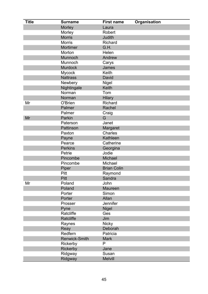| <b>Title</b> | <b>Surname</b>       | <b>First name</b>  | Organisation |
|--------------|----------------------|--------------------|--------------|
|              | Morley               | Laura              |              |
|              | Morley               | Robert             |              |
|              | <b>Morris</b>        | <b>Judith</b>      |              |
|              | <b>Morris</b>        | <b>Richard</b>     |              |
|              | Mortimer             | G.H.               |              |
|              | Morton               | Helen              |              |
|              | Munnoch              | Andrew             |              |
|              | Munnoch              | Carys              |              |
|              | <b>Murdock</b>       | James              |              |
|              | <b>Mycock</b>        | Keith              |              |
|              | <b>Nattrass</b>      | David              |              |
|              | Newbery              | <b>Nigel</b>       |              |
|              | Nightingale          | Keith              |              |
|              | Norman               | Tom                |              |
|              | Norman               | <b>Hilary</b>      |              |
| Mr           | O'Brien              | Richard            |              |
|              | Palmer               | Rachel             |              |
|              | Palmer               | Craig              |              |
| Mr           | Parkin               | G                  |              |
|              | Paterson             | Janet              |              |
|              | Pattinson            | Margaret           |              |
|              | Paxton               | <b>Charles</b>     |              |
|              | Payne                | Kathleen           |              |
|              | Pearce               | Catherine          |              |
|              | <b>Perkins</b>       | Georgina           |              |
|              | Petrie               | Jodie              |              |
|              | Pincombe             | <b>Michael</b>     |              |
|              | Pincombe             | Michael            |              |
|              | Piper                | <b>Brian Colin</b> |              |
|              | Pitt                 | Raymond            |              |
|              | Pitt                 | Sandra             |              |
| Mr           | Poland               | John               |              |
|              | Poland               | <b>Maureen</b>     |              |
|              | Porter               | Simon              |              |
|              | Porter               | Allan              |              |
|              | Prosser              | Jennifer           |              |
|              | Pyne                 | <b>Nigel</b>       |              |
|              | Ratcliffe            | Ges                |              |
|              | Ratcliffe            | Jim                |              |
|              | Raynes               | <b>Nicky</b>       |              |
|              | Reay                 | Deborah            |              |
|              | Redfern              | Patricia           |              |
|              | <b>Renwick-Smith</b> | <b>Mark</b>        |              |
|              | Rickerby             | P                  |              |
|              | Rickerby             | Jane               |              |
|              | Ridgway              | Susan              |              |
|              | Ridgway              | <b>Melvill</b>     |              |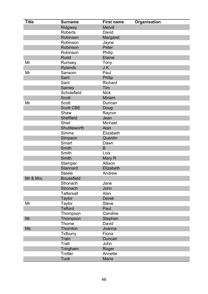| <b>Title</b> | <b>Surname</b>    | <b>First name</b> | Organisation |
|--------------|-------------------|-------------------|--------------|
|              | Ridgway           | <b>Melvill</b>    |              |
|              | <b>Roberts</b>    | David             |              |
|              | Robinson          | Margaret          |              |
|              | Robinson          | Jayne             |              |
|              | Robinson          | Peter             |              |
|              | Robinson          | Philip            |              |
|              | <b>Rudd</b>       | Elaine            |              |
| Mr           | Rumsey            | Tony              |              |
|              | <b>Rylands</b>    | JK                |              |
| Mr           | Sansom            | Paul              |              |
|              | Sant              | Philip            |              |
|              | Sant              | <b>Richard</b>    |              |
|              | Sarney            | Tim               |              |
|              | Scholefield       | <b>Nick</b>       |              |
|              | <b>Scott</b>      | <b>Miriam</b>     |              |
| Mr           | <b>Scott</b>      | Duncan            |              |
|              | <b>Scott CBE</b>  | Doug              |              |
|              | Shaw              | Raynor            |              |
|              | <b>Sheffield</b>  | Jean              |              |
|              | Shiel             | Michael           |              |
|              | Shuttleworth      | Alan              |              |
|              | <b>Simms</b>      | Elizabeth         |              |
|              | Simpson           | Quentin           |              |
|              | Smart             | Dawn              |              |
|              | <b>Smith</b>      | B                 |              |
|              | Smith             | Lois              |              |
|              | <b>Smith</b>      | Mary R            |              |
|              | Stamper           | Allison           |              |
|              | Stannard          | Elizabeth         |              |
|              | <b>Steele</b>     | Andrew            |              |
| Mr & Mrs     | <b>Bousefield</b> |                   |              |
|              | Stronach          | Jane              |              |
|              | Stronach          | John              |              |
|              | <b>Tattersall</b> | Alan              |              |
|              | <b>Taylor</b>     | <b>Derek</b>      |              |
| Mr           | Taylor            | <b>Steve</b>      |              |
|              | <b>Telford</b>    | Paul              |              |
|              | Thompson          | Caroline          |              |
| Mr           | Thompson          | Stephen           |              |
|              | Thorne            | David             |              |
| <b>Ms</b>    | Thornton          | Joanna            |              |
|              | Tidburry          | Fiona             |              |
|              | Train             | Duncan            |              |
|              | <b>Tratt</b>      | John              |              |
|              | Tringham          | Roger             |              |
|              | <b>Trotter</b>    | Annette           |              |
|              | <b>Tuck</b>       | Maria             |              |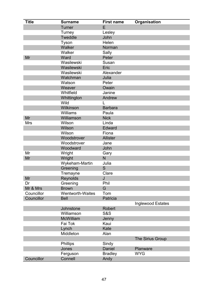| <b>Title</b> | <b>Surname</b>          | <b>First name</b> | Organisation      |
|--------------|-------------------------|-------------------|-------------------|
|              | <b>Turner</b>           | E                 |                   |
|              | Turney                  | Lesley            |                   |
|              | <b>Tweddle</b>          | John              |                   |
|              | Tyson                   | Helen             |                   |
|              | Walker                  | Norman            |                   |
|              | Walker                  | Sally             |                   |
| Mr           | Ward                    | Peter             |                   |
|              | Wasilewski              | Susan             |                   |
|              | Wasilewski              | Eric              |                   |
|              | Wasilewski              | Alexander         |                   |
|              | Watchman                | Julia             |                   |
|              | Watson                  | Peter             |                   |
|              | Weaver                  | Owain             |                   |
|              | Whitfield               | Janine            |                   |
|              | Whittington             | Andrew            |                   |
|              | Wild                    |                   |                   |
|              | Wilkinson               | <b>Barbara</b>    |                   |
|              | Williams                | Paula             |                   |
| Mr           | Williamson              | <b>Nick</b>       |                   |
| <b>Mrs</b>   | Wilson                  | Linda             |                   |
|              | Wilson                  | Edward            |                   |
|              | Wilson                  | Fiona             |                   |
|              | Woodstrover             | <b>Allister</b>   |                   |
|              | Woodstrover             | Jane              |                   |
|              | Woodward                | John              |                   |
| Mr           | Wright                  | Gary              |                   |
| Mr           | Wright                  | N                 |                   |
|              | Wykeham-Martin          | Julia             |                   |
|              | Greening                | S                 |                   |
|              | Tremayne                | Clare             |                   |
| Mr           | Reynolds                | J                 |                   |
| Dr           | Greening                | Phil              |                   |
| Mr & Mrs     | <b>Brown</b>            | G                 |                   |
| Councillor   | <b>Wentworth-Waites</b> | Tom               |                   |
| Councillor   | <b>Bell</b>             | Patricia          |                   |
|              |                         |                   | Inglewood Estates |
|              | Johnstone               | Robert            |                   |
|              | Williamson              | <b>S&amp;S</b>    |                   |
|              | <b>McWilliam</b>        | Jenny             |                   |
|              | Fai Tok                 | Kaui              |                   |
|              | Lynch                   | Kate              |                   |
|              | Middleton               | Alan              |                   |
|              |                         |                   | The Sirius Group  |
|              | Phillips                | Sindy             |                   |
|              | Jones                   | <b>Daniel</b>     | Planware          |
|              | Ferguson                | <b>Bradley</b>    | <b>WYG</b>        |
| Councillor   | Connell                 | Andy              |                   |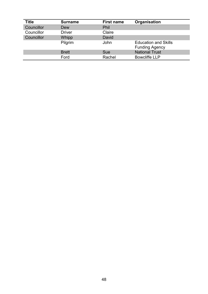| <b>Title</b>      | <b>Surname</b> | <b>First name</b> | Organisation                                         |
|-------------------|----------------|-------------------|------------------------------------------------------|
| <b>Councillor</b> | Dew            | Phil              |                                                      |
| Councillor        | <b>Driver</b>  | Claire            |                                                      |
| Councillor        | Whipp          | David             |                                                      |
|                   | Pilgrim        | John              | <b>Education and Skills</b><br><b>Funding Agency</b> |
|                   | <b>Brett</b>   | Sue               | <b>National Trust</b>                                |
|                   | Ford           | Rachel            | <b>Bowcliffe LLP</b>                                 |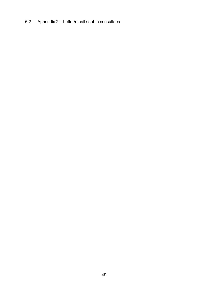6.2 Appendix 2 – Letter/email sent to consultees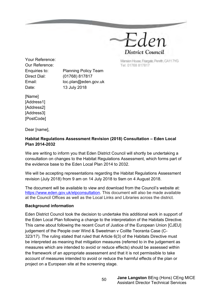

Mansion House Friargate, Penrifh, CA11 7YG Tel: 01768 817817

Your Reference: Our Reference: Direct Dial: (01768) 817817 Date: 13 July 2018

Enquiries to: Planning Policy Team Email: loc.plan@eden.gov.uk

[Name] [Address1] [Address2] [Address3] [PostCode]

Dear [name],

#### **Habitat Regulations Assessment Revision (2018) Consultation – Eden Local Plan 2014-2032**

We are writing to inform you that Eden District Council will shortly be undertaking a consultation on changes to the Habitat Regulations Assessment, which forms part of the evidence base to the Eden Local Plan 2014 to 2032.

We will be accepting representations regarding the Habitat Regulations Assessment revision (July 2018) from 9 am on 14 July 2018 to 9am on 4 August 2018.

The document will be available to view and download from the Council's website at: [https://www.eden.gov.uk/elpconsultation.](https://www.eden.gov.uk/elpconsultation) This document will also be made available at the Council Offices as well as the Local Links and Libraries across the district.

#### **Background information**

Eden District Council took the decision to undertake this additional work in support of the Eden Local Plan following a change to the interpretation of the Habitats Directive. This came about following the recent Court of Justice of the European Union [CJEU] judgement of the People over Wind & Sweetman v Coillte Teoranta Case (C-323/17). The ruling stated that ruled that Article 6(3) of the Habitats Directive must be interpreted as meaning that mitigation measures (referred to in the judgement as measures which are intended to avoid or reduce effects) should be assessed within the framework of an appropriate assessment and that it is not permissible to take account of measures intended to avoid or reduce the harmful effects of the plan or project on a European site at the screening stage.